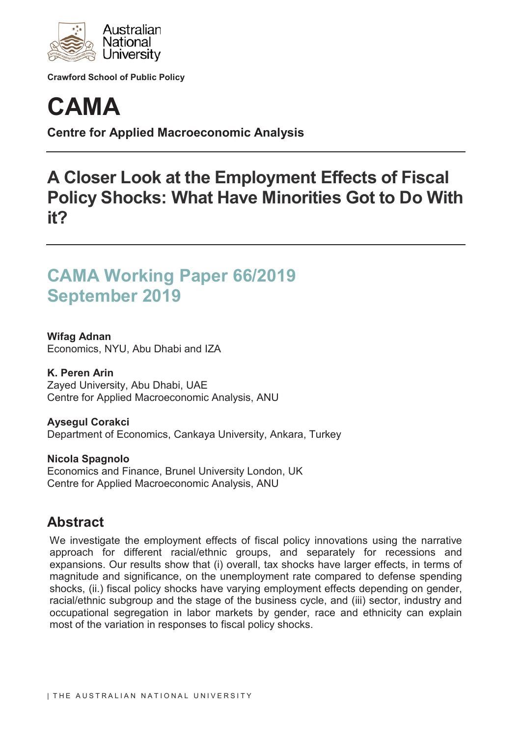

**Crawford School of Public Policy**



**Centre for Applied Macroeconomic Analysis**

# **A Closer Look at the Employment Effects of Fiscal Policy Shocks: What Have Minorities Got to Do With it?**

## **CAMA Working Paper 66/2019 September 2019**

**Wifag Adnan** Economics, NYU, Abu Dhabi and IZA

**K. Peren Arin** Zayed University, Abu Dhabi, UAE Centre for Applied Macroeconomic Analysis, ANU

**Aysegul Corakci** Department of Economics, Cankaya University, Ankara, Turkey

**Nicola Spagnolo** Economics and Finance, Brunel University London, UK Centre for Applied Macroeconomic Analysis, ANU

## **Abstract**

We investigate the employment effects of fiscal policy innovations using the narrative approach for different racial/ethnic groups, and separately for recessions and expansions. Our results show that (i) overall, tax shocks have larger effects, in terms of magnitude and significance, on the unemployment rate compared to defense spending shocks, (ii.) fiscal policy shocks have varying employment effects depending on gender, racial/ethnic subgroup and the stage of the business cycle, and (iii) sector, industry and occupational segregation in labor markets by gender, race and ethnicity can explain most of the variation in responses to fiscal policy shocks.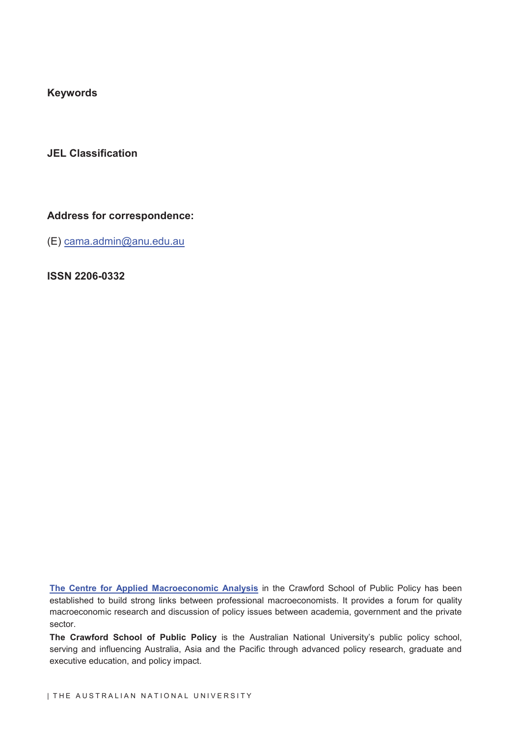**Keywords**

**JEL Classification**

### **Address for correspondence:**

(E) cama.admin@anu.edu.au

**ISSN 2206-0332**

**The Centre for Applied Macroeconomic Analysis** in the Crawford School of Public Policy has been established to build strong links between professional macroeconomists. It provides a forum for quality macroeconomic research and discussion of policy issues between academia, government and the private sector.

**The Crawford School of Public Policy** is the Australian National University's public policy school, serving and influencing Australia, Asia and the Pacific through advanced policy research, graduate and executive education, and policy impact.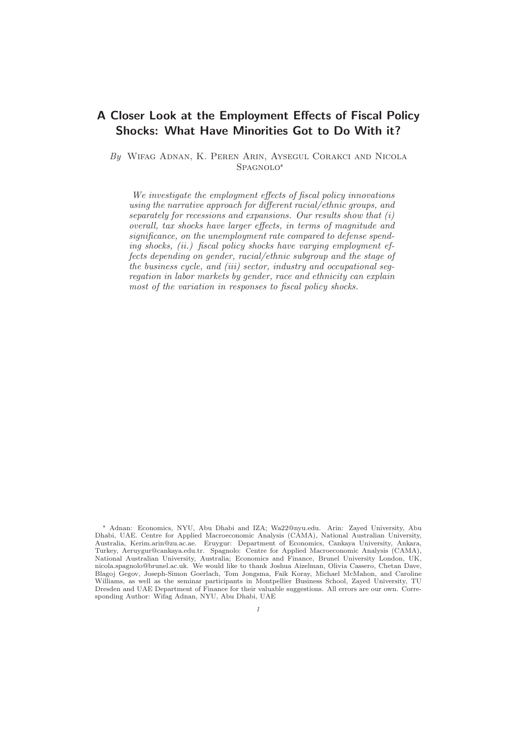### **A Closer Look at the Employment Effects of Fiscal Policy Shocks: What Have Minorities Got to Do With it?**

By Wifag Adnan, K. Peren Arin, Aysegul Corakci and Nicola SPAGNOLO\*

We investigate the employment effects of fiscal policy innovations using the narrative approach for different racial/ethnic groups, and separately for recessions and expansions. Our results show that  $(i)$ overall, tax shocks have larger effects, in terms of magnitude and significance, on the unemployment rate compared to defense spending shocks, (ii.) fiscal policy shocks have varying employment effects depending on gender, racial/ethnic subgroup and the stage of the business cycle, and (iii) sector, industry and occupational segregation in labor markets by gender, race and ethnicity can explain most of the variation in responses to fiscal policy shocks.

Adnan: Economics, NYU, Abu Dhabi and IZA; Wa22@nyu.edu. Arin: Zayed University, Abu Dhabi, UAE. Centre for Applied Macroeconomic Analysis (CAMA), National Australian University, Australia, Kerim.arin@zu.ac.ae. Eruygur: Department of Economics, Cankaya University, Ankara, Turkey, Aeruygur@cankaya.edu.tr. Spagnolo: Centre for Applied Macroeconomic Analysis (CAMA), National Australian University, Australia; Economics and Finance, Brunel University London, UK, nicola.spagnolo@brunel.ac.uk. We would like to thank Joshua Aizelman, Olivia Cassero, Chetan Dave, Blagoj Gegov, Joseph-Simon Goerlach, Tom Jongsma, Faik Koray, Michael McMahon, and Caroline Williams, as well as the seminar participants in Montpellier Business School, Zayed University, TU Dresden and UAE Department of Finance for their valuable suggestions. All errors are our own. Corresponding Author: Wifag Adnan, NYU, Abu Dhabi, UAE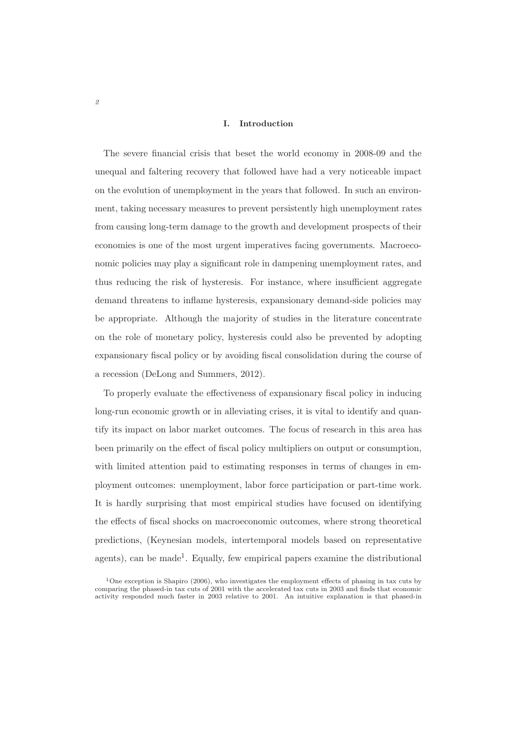#### **I. Introduction**

The severe financial crisis that beset the world economy in 2008-09 and the unequal and faltering recovery that followed have had a very noticeable impact on the evolution of unemployment in the years that followed. In such an environment, taking necessary measures to prevent persistently high unemployment rates from causing long-term damage to the growth and development prospects of their economies is one of the most urgent imperatives facing governments. Macroeconomic policies may play a significant role in dampening unemployment rates, and thus reducing the risk of hysteresis. For instance, where insufficient aggregate demand threatens to inflame hysteresis, expansionary demand-side policies may be appropriate. Although the majority of studies in the literature concentrate on the role of monetary policy, hysteresis could also be prevented by adopting expansionary fiscal policy or by avoiding fiscal consolidation during the course of a recession (DeLong and Summers, 2012).

To properly evaluate the effectiveness of expansionary fiscal policy in inducing long-run economic growth or in alleviating crises, it is vital to identify and quantify its impact on labor market outcomes. The focus of research in this area has been primarily on the effect of fiscal policy multipliers on output or consumption, with limited attention paid to estimating responses in terms of changes in employment outcomes: unemployment, labor force participation or part-time work. It is hardly surprising that most empirical studies have focused on identifying the effects of fiscal shocks on macroeconomic outcomes, where strong theoretical predictions, (Keynesian models, intertemporal models based on representative agents), can be made<sup>1</sup>. Equally, few empirical papers examine the distributional

<sup>&</sup>lt;sup>1</sup>One exception is Shapiro (2006), who investigates the employment effects of phasing in tax cuts by comparing the phased-in tax cuts of 2001 with the accelerated tax cuts in 2003 and finds that economic activity responded much faster in 2003 relative to 2001. An intuitive explanation is that phased-in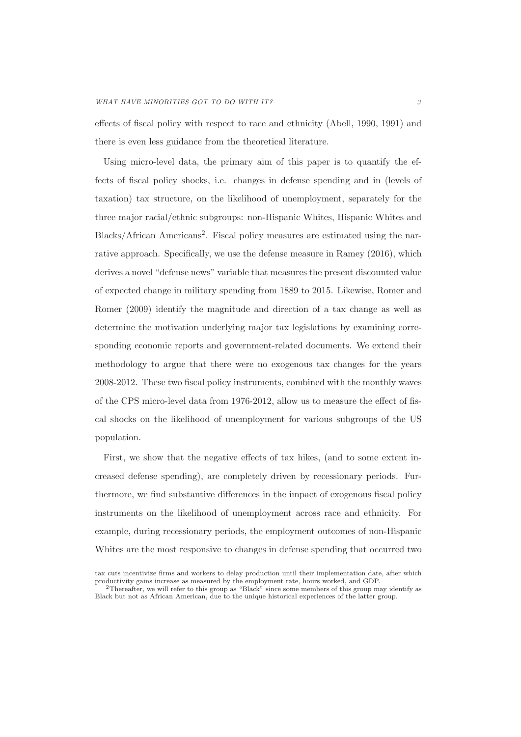effects of fiscal policy with respect to race and ethnicity (Abell, 1990, 1991) and there is even less guidance from the theoretical literature.

Using micro-level data, the primary aim of this paper is to quantify the effects of fiscal policy shocks, i.e. changes in defense spending and in (levels of taxation) tax structure, on the likelihood of unemployment, separately for the three major racial/ethnic subgroups: non-Hispanic Whites, Hispanic Whites and Blacks/African Americans2. Fiscal policy measures are estimated using the narrative approach. Specifically, we use the defense measure in Ramey (2016), which derives a novel "defense news" variable that measures the present discounted value of expected change in military spending from 1889 to 2015. Likewise, Romer and Romer (2009) identify the magnitude and direction of a tax change as well as determine the motivation underlying major tax legislations by examining corresponding economic reports and government-related documents. We extend their methodology to argue that there were no exogenous tax changes for the years 2008-2012. These two fiscal policy instruments, combined with the monthly waves of the CPS micro-level data from 1976-2012, allow us to measure the effect of fiscal shocks on the likelihood of unemployment for various subgroups of the US population.

First, we show that the negative effects of tax hikes, (and to some extent increased defense spending), are completely driven by recessionary periods. Furthermore, we find substantive differences in the impact of exogenous fiscal policy instruments on the likelihood of unemployment across race and ethnicity. For example, during recessionary periods, the employment outcomes of non-Hispanic Whites are the most responsive to changes in defense spending that occurred two

tax cuts incentivize firms and workers to delay production until their implementation date, after which productivity gains increase as measured by the employment rate, hours worked, and GDP.

<sup>2</sup>Thereafter, we will refer to this group as "Black" since some members of this group may identify as Black but not as African American, due to the unique historical experiences of the latter group.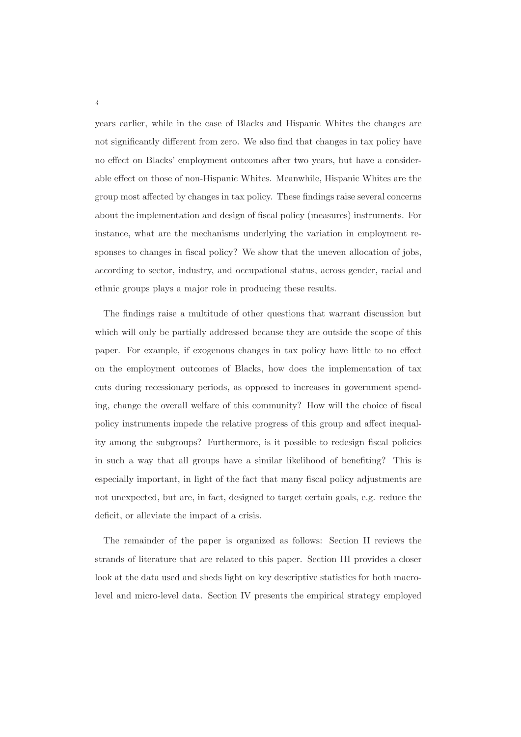years earlier, while in the case of Blacks and Hispanic Whites the changes are not significantly different from zero. We also find that changes in tax policy have no effect on Blacks' employment outcomes after two years, but have a considerable effect on those of non-Hispanic Whites. Meanwhile, Hispanic Whites are the group most affected by changes in tax policy. These findings raise several concerns about the implementation and design of fiscal policy (measures) instruments. For instance, what are the mechanisms underlying the variation in employment responses to changes in fiscal policy? We show that the uneven allocation of jobs, according to sector, industry, and occupational status, across gender, racial and ethnic groups plays a major role in producing these results.

The findings raise a multitude of other questions that warrant discussion but which will only be partially addressed because they are outside the scope of this paper. For example, if exogenous changes in tax policy have little to no effect on the employment outcomes of Blacks, how does the implementation of tax cuts during recessionary periods, as opposed to increases in government spending, change the overall welfare of this community? How will the choice of fiscal policy instruments impede the relative progress of this group and affect inequality among the subgroups? Furthermore, is it possible to redesign fiscal policies in such a way that all groups have a similar likelihood of benefiting? This is especially important, in light of the fact that many fiscal policy adjustments are not unexpected, but are, in fact, designed to target certain goals, e.g. reduce the deficit, or alleviate the impact of a crisis.

The remainder of the paper is organized as follows: Section II reviews the strands of literature that are related to this paper. Section III provides a closer look at the data used and sheds light on key descriptive statistics for both macrolevel and micro-level data. Section IV presents the empirical strategy employed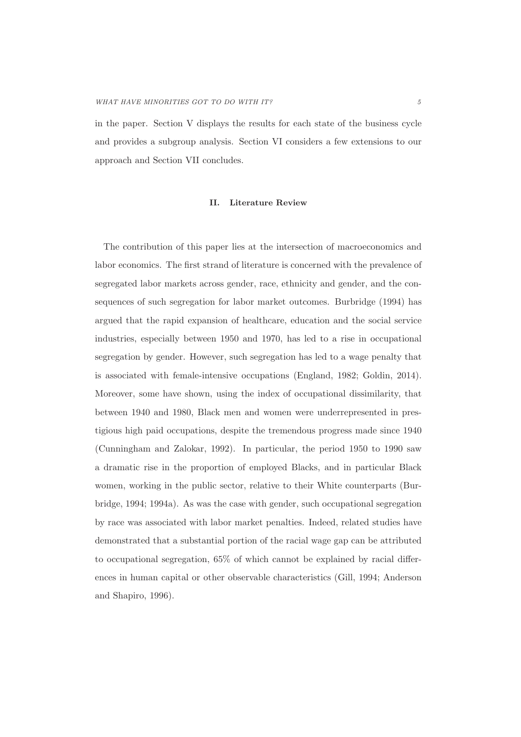in the paper. Section V displays the results for each state of the business cycle and provides a subgroup analysis. Section VI considers a few extensions to our approach and Section VII concludes.

#### **II. Literature Review**

The contribution of this paper lies at the intersection of macroeconomics and labor economics. The first strand of literature is concerned with the prevalence of segregated labor markets across gender, race, ethnicity and gender, and the consequences of such segregation for labor market outcomes. Burbridge (1994) has argued that the rapid expansion of healthcare, education and the social service industries, especially between 1950 and 1970, has led to a rise in occupational segregation by gender. However, such segregation has led to a wage penalty that is associated with female-intensive occupations (England, 1982; Goldin, 2014). Moreover, some have shown, using the index of occupational dissimilarity, that between 1940 and 1980, Black men and women were underrepresented in prestigious high paid occupations, despite the tremendous progress made since 1940 (Cunningham and Zalokar, 1992). In particular, the period 1950 to 1990 saw a dramatic rise in the proportion of employed Blacks, and in particular Black women, working in the public sector, relative to their White counterparts (Burbridge, 1994; 1994a). As was the case with gender, such occupational segregation by race was associated with labor market penalties. Indeed, related studies have demonstrated that a substantial portion of the racial wage gap can be attributed to occupational segregation, 65% of which cannot be explained by racial differences in human capital or other observable characteristics (Gill, 1994; Anderson and Shapiro, 1996).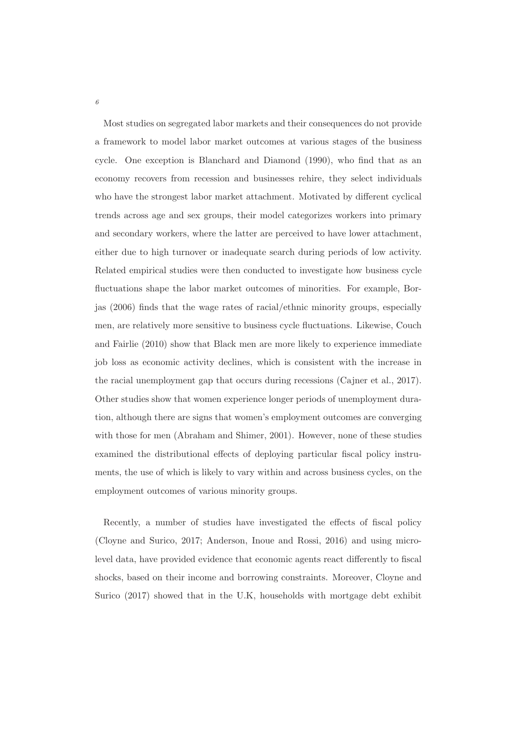Most studies on segregated labor markets and their consequences do not provide a framework to model labor market outcomes at various stages of the business cycle. One exception is Blanchard and Diamond (1990), who find that as an economy recovers from recession and businesses rehire, they select individuals who have the strongest labor market attachment. Motivated by different cyclical trends across age and sex groups, their model categorizes workers into primary and secondary workers, where the latter are perceived to have lower attachment, either due to high turnover or inadequate search during periods of low activity. Related empirical studies were then conducted to investigate how business cycle fluctuations shape the labor market outcomes of minorities. For example, Borjas (2006) finds that the wage rates of racial/ethnic minority groups, especially men, are relatively more sensitive to business cycle fluctuations. Likewise, Couch and Fairlie (2010) show that Black men are more likely to experience immediate job loss as economic activity declines, which is consistent with the increase in the racial unemployment gap that occurs during recessions (Cajner et al., 2017). Other studies show that women experience longer periods of unemployment duration, although there are signs that women's employment outcomes are converging with those for men (Abraham and Shimer, 2001). However, none of these studies examined the distributional effects of deploying particular fiscal policy instruments, the use of which is likely to vary within and across business cycles, on the employment outcomes of various minority groups.

Recently, a number of studies have investigated the effects of fiscal policy (Cloyne and Surico, 2017; Anderson, Inoue and Rossi, 2016) and using microlevel data, have provided evidence that economic agents react differently to fiscal shocks, based on their income and borrowing constraints. Moreover, Cloyne and Surico (2017) showed that in the U.K, households with mortgage debt exhibit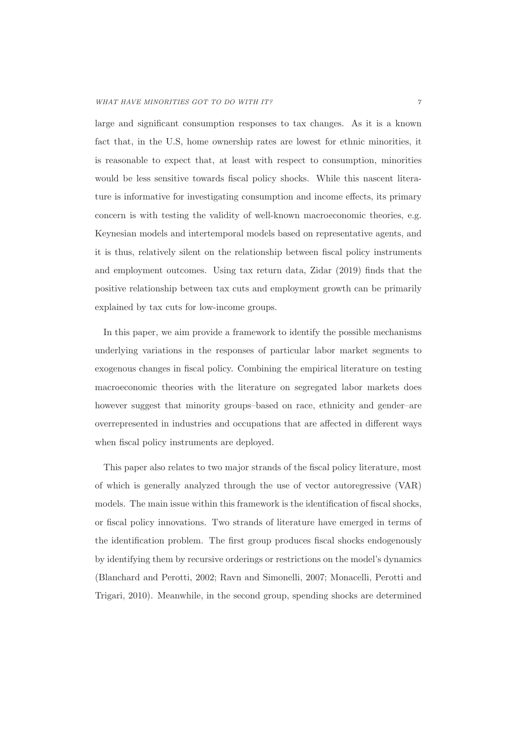large and significant consumption responses to tax changes. As it is a known fact that, in the U.S, home ownership rates are lowest for ethnic minorities, it is reasonable to expect that, at least with respect to consumption, minorities would be less sensitive towards fiscal policy shocks. While this nascent literature is informative for investigating consumption and income effects, its primary concern is with testing the validity of well-known macroeconomic theories, e.g. Keynesian models and intertemporal models based on representative agents, and it is thus, relatively silent on the relationship between fiscal policy instruments and employment outcomes. Using tax return data, Zidar (2019) finds that the positive relationship between tax cuts and employment growth can be primarily explained by tax cuts for low-income groups.

In this paper, we aim provide a framework to identify the possible mechanisms underlying variations in the responses of particular labor market segments to exogenous changes in fiscal policy. Combining the empirical literature on testing macroeconomic theories with the literature on segregated labor markets does however suggest that minority groups–based on race, ethnicity and gender–are overrepresented in industries and occupations that are affected in different ways when fiscal policy instruments are deployed.

This paper also relates to two major strands of the fiscal policy literature, most of which is generally analyzed through the use of vector autoregressive (VAR) models. The main issue within this framework is the identification of fiscal shocks, or fiscal policy innovations. Two strands of literature have emerged in terms of the identification problem. The first group produces fiscal shocks endogenously by identifying them by recursive orderings or restrictions on the model's dynamics (Blanchard and Perotti, 2002; Ravn and Simonelli, 2007; Monacelli, Perotti and Trigari, 2010). Meanwhile, in the second group, spending shocks are determined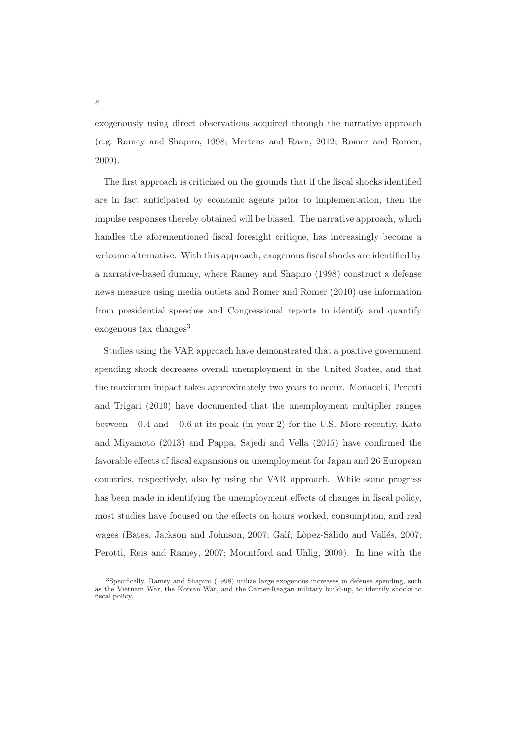exogenously using direct observations acquired through the narrative approach (e.g. Ramey and Shapiro, 1998; Mertens and Ravn, 2012; Romer and Romer, 2009).

The first approach is criticized on the grounds that if the fiscal shocks identified are in fact anticipated by economic agents prior to implementation, then the impulse responses thereby obtained will be biased. The narrative approach, which handles the aforementioned fiscal foresight critique, has increasingly become a welcome alternative. With this approach, exogenous fiscal shocks are identified by a narrative-based dummy, where Ramey and Shapiro (1998) construct a defense news measure using media outlets and Romer and Romer (2010) use information from presidential speeches and Congressional reports to identify and quantify exogenous tax changes<sup>3</sup>.

Studies using the VAR approach have demonstrated that a positive government spending shock decreases overall unemployment in the United States, and that the maximum impact takes approximately two years to occur. Monacelli, Perotti and Trigari (2010) have documented that the unemployment multiplier ranges exogenous tax changes<sup>3</sup>.<br>
Studies using the VAR approach have demonstrated that a positive government<br>
spending shock decreases overall unemployment in the United States, and that<br>
the maximum impact takes approximately and Miyamoto (2013) and Pappa, Sajedi and Vella (2015) have confirmed the favorable effects of fiscal expansions on unemployment for Japan and 26 European countries, respectively, also by using the VAR approach. While some progress has been made in identifying the unemployment effects of changes in fiscal policy, most studies have focused on the effects on hours worked, consumption, and real wages (Bates, Jackson and Johnson, 2007; Galí, Lòpez-Salido and Vallés, 2007; Perotti, Reis and Ramey, 2007; Mountford and Uhlig, 2009). In line with the

<sup>3</sup>Specifically, Ramey and Shapiro (1998) utilize large exogenous increases in defense spending, such as the Vietnam War, the Korean War, and the Carter-Reagan military build-up, to identify shocks to fiscal policy.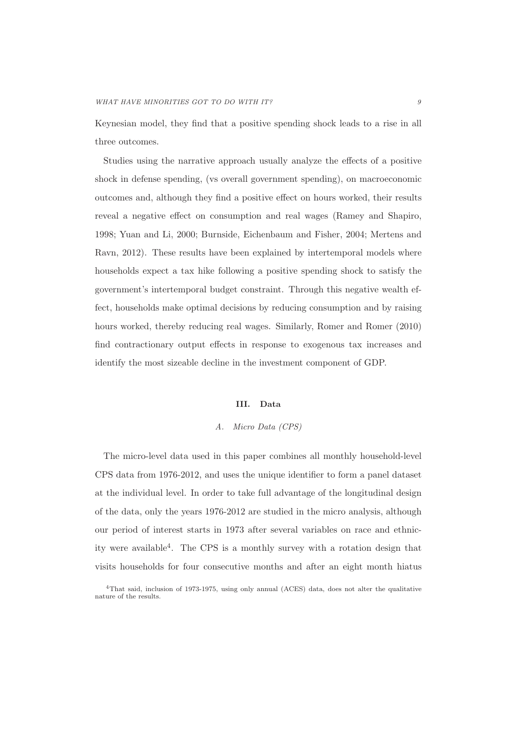Keynesian model, they find that a positive spending shock leads to a rise in all three outcomes.

Studies using the narrative approach usually analyze the effects of a positive shock in defense spending, (vs overall government spending), on macroeconomic outcomes and, although they find a positive effect on hours worked, their results reveal a negative effect on consumption and real wages (Ramey and Shapiro, 1998; Yuan and Li, 2000; Burnside, Eichenbaum and Fisher, 2004; Mertens and Ravn, 2012). These results have been explained by intertemporal models where households expect a tax hike following a positive spending shock to satisfy the government's intertemporal budget constraint. Through this negative wealth effect, households make optimal decisions by reducing consumption and by raising hours worked, thereby reducing real wages. Similarly, Romer and Romer (2010) find contractionary output effects in response to exogenous tax increases and identify the most sizeable decline in the investment component of GDP.

#### **III. Data**

#### A. Micro Data (CPS)

The micro-level data used in this paper combines all monthly household-level CPS data from 1976-2012, and uses the unique identifier to form a panel dataset at the individual level. In order to take full advantage of the longitudinal design of the data, only the years 1976-2012 are studied in the micro analysis, although our period of interest starts in 1973 after several variables on race and ethnicity were available<sup>4</sup>. The CPS is a monthly survey with a rotation design that visits households for four consecutive months and after an eight month hiatus

<sup>4</sup>That said, inclusion of 1973-1975, using only annual (ACES) data, does not alter the qualitative nature of the results.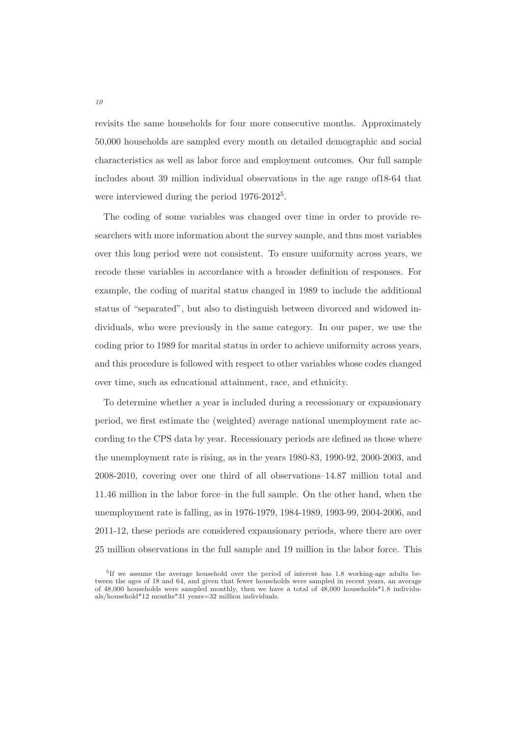revisits the same households for four more consecutive months. Approximately 50,000 households are sampled every month on detailed demographic and social characteristics as well as labor force and employment outcomes. Our full sample includes about 39 million individual observations in the age range of18-64 that were interviewed during the period 1976-2012<sup>5</sup>.

The coding of some variables was changed over time in order to provide researchers with more information about the survey sample, and thus most variables over this long period were not consistent. To ensure uniformity across years, we recode these variables in accordance with a broader definition of responses. For example, the coding of marital status changed in 1989 to include the additional status of "separated", but also to distinguish between divorced and widowed individuals, who were previously in the same category. In our paper, we use the coding prior to 1989 for marital status in order to achieve uniformity across years, and this procedure is followed with respect to other variables whose codes changed over time, such as educational attainment, race, and ethnicity.

To determine whether a year is included during a recessionary or expansionary period, we first estimate the (weighted) average national unemployment rate according to the CPS data by year. Recessionary periods are defined as those where the unemployment rate is rising, as in the years 1980-83, 1990-92, 2000-2003, and 2008-2010, covering over one third of all observations–14.87 million total and 11.46 million in the labor force–in the full sample. On the other hand, when the unemployment rate is falling, as in 1976-1979, 1984-1989, 1993-99, 2004-2006, and 2011-12, these periods are considered expansionary periods, where there are over 25 million observations in the full sample and 19 million in the labor force. This

<sup>5</sup>If we assume the average household over the period of interest has 1.8 working-age adults between the ages of 18 and 64, and given that fewer households were sampled in recent years, an average of 48,000 households were sampled monthly, then we have a total of 48,000 households\*1.8 individuals/household\*12 months\*31 years=32 million individuals.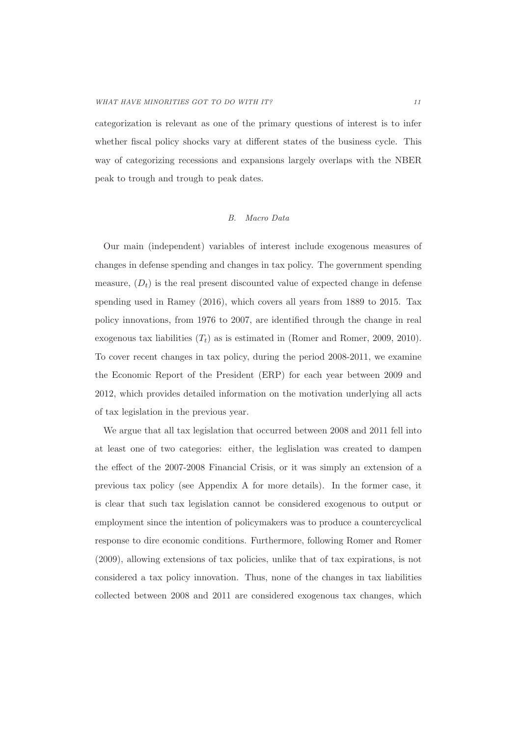categorization is relevant as one of the primary questions of interest is to infer whether fiscal policy shocks vary at different states of the business cycle. This way of categorizing recessions and expansions largely overlaps with the NBER peak to trough and trough to peak dates.

#### B. Macro Data

Our main (independent) variables of interest include exogenous measures of changes in defense spending and changes in tax policy. The government spending measure,  $(D<sub>t</sub>)$  is the real present discounted value of expected change in defense spending used in Ramey (2016), which covers all years from 1889 to 2015. Tax policy innovations, from 1976 to 2007, are identified through the change in real exogenous tax liabilities  $(T_t)$  as is estimated in (Romer and Romer, 2009, 2010). To cover recent changes in tax policy, during the period 2008-2011, we examine the Economic Report of the President (ERP) for each year between 2009 and 2012, which provides detailed information on the motivation underlying all acts of tax legislation in the previous year.

We argue that all tax legislation that occurred between 2008 and 2011 fell into at least one of two categories: either, the leglislation was created to dampen the effect of the 2007-2008 Financial Crisis, or it was simply an extension of a previous tax policy (see Appendix A for more details). In the former case, it is clear that such tax legislation cannot be considered exogenous to output or employment since the intention of policymakers was to produce a countercyclical response to dire economic conditions. Furthermore, following Romer and Romer (2009), allowing extensions of tax policies, unlike that of tax expirations, is not considered a tax policy innovation. Thus, none of the changes in tax liabilities collected between 2008 and 2011 are considered exogenous tax changes, which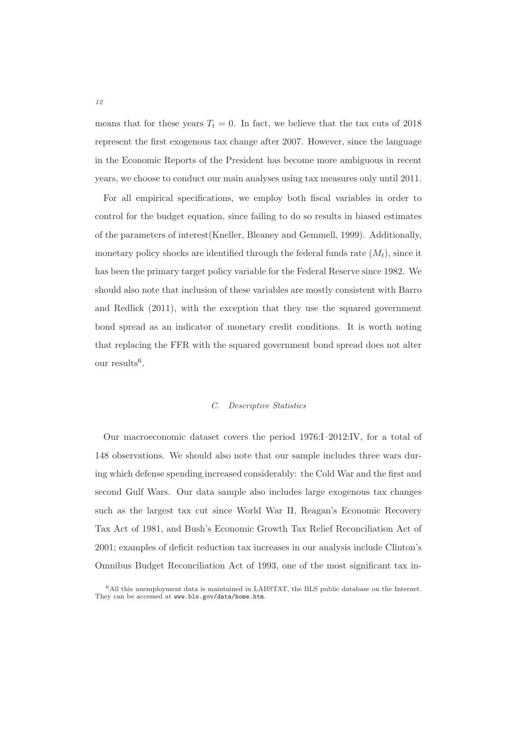means that for these years  $T_t = 0$ . In fact, we believe that the tax cuts of 2018 represent the first exogenous tax change after 2007. However, since the language in the Economic Reports of the President has become more ambiguous in recent years, we choose to conduct our main analyses using tax measures only until 2011.

For all empirical specifications, we employ both fiscal variables in order to control for the budget equation, since failing to do so results in biased estimates of the parameters of interest(Kneller, Bleaney and Gemmell, 1999). Additionally, monetary policy shocks are identified through the federal funds rate  $(M_t)$ , since it has been the primary target policy variable for the Federal Reserve since 1982. We should also note that inclusion of these variables are mostly consistent with Barro and Redlick (2011), with the exception that they use the squared government bond spread as an indicator of monetary credit conditions. It is worth noting that replacing the FFR with the squared government bond spread does not alter our results<sup>6</sup>.

#### C. Descriptive Statistics

Our macroeconomic dataset covers the period 1976:I–2012:IV, for a total of 148 observations. We should also note that our sample includes three wars during which defense spending increased considerably: the Cold War and the first and second Gulf Wars. Our data sample also includes large exogenous tax changes such as the largest tax cut since World War II, Reagan's Economic Recovery Tax Act of 1981, and Bush's Economic Growth Tax Relief Reconciliation Act of 2001; examples of deficit reduction tax increases in our analysis include Clinton's Omnibus Budget Reconciliation Act of 1993, one of the most significant tax in-

<sup>6</sup>All this unemployment data is maintained in LABSTAT, the BLS public database on the Internet. They can be accessed at www.bls.gov/data/home.htm.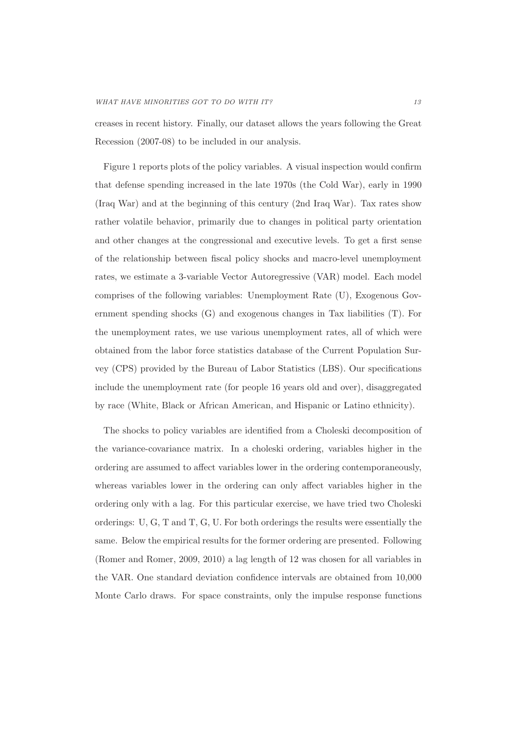creases in recent history. Finally, our dataset allows the years following the Great Recession (2007-08) to be included in our analysis.

Figure 1 reports plots of the policy variables. A visual inspection would confirm that defense spending increased in the late 1970s (the Cold War), early in 1990 (Iraq War) and at the beginning of this century (2nd Iraq War). Tax rates show rather volatile behavior, primarily due to changes in political party orientation and other changes at the congressional and executive levels. To get a first sense of the relationship between fiscal policy shocks and macro-level unemployment rates, we estimate a 3-variable Vector Autoregressive (VAR) model. Each model comprises of the following variables: Unemployment Rate (U), Exogenous Government spending shocks (G) and exogenous changes in Tax liabilities (T). For the unemployment rates, we use various unemployment rates, all of which were obtained from the labor force statistics database of the Current Population Survey (CPS) provided by the Bureau of Labor Statistics (LBS). Our specifications include the unemployment rate (for people 16 years old and over), disaggregated by race (White, Black or African American, and Hispanic or Latino ethnicity).

The shocks to policy variables are identified from a Choleski decomposition of the variance-covariance matrix. In a choleski ordering, variables higher in the ordering are assumed to affect variables lower in the ordering contemporaneously, whereas variables lower in the ordering can only affect variables higher in the ordering only with a lag. For this particular exercise, we have tried two Choleski orderings: U, G, T and T, G, U. For both orderings the results were essentially the same. Below the empirical results for the former ordering are presented. Following (Romer and Romer, 2009, 2010) a lag length of 12 was chosen for all variables in the VAR. One standard deviation confidence intervals are obtained from 10,000 Monte Carlo draws. For space constraints, only the impulse response functions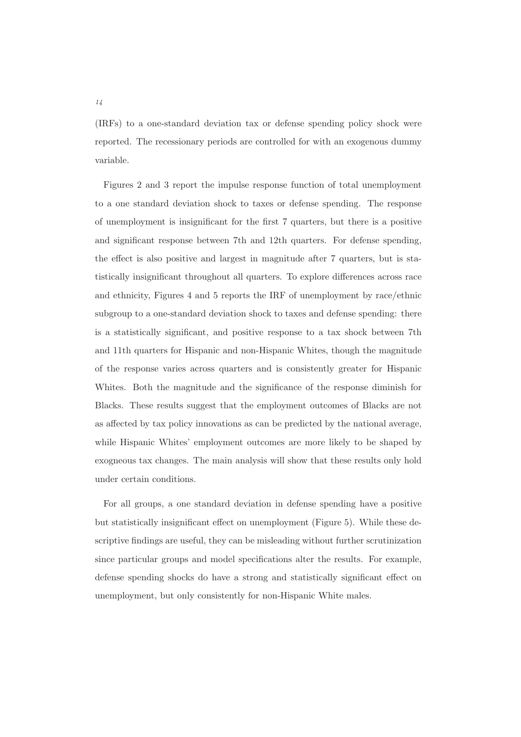(IRFs) to a one-standard deviation tax or defense spending policy shock were reported. The recessionary periods are controlled for with an exogenous dummy variable.

Figures 2 and 3 report the impulse response function of total unemployment to a one standard deviation shock to taxes or defense spending. The response of unemployment is insignificant for the first 7 quarters, but there is a positive and significant response between 7th and 12th quarters. For defense spending, the effect is also positive and largest in magnitude after 7 quarters, but is statistically insignificant throughout all quarters. To explore differences across race and ethnicity, Figures 4 and 5 reports the IRF of unemployment by race/ethnic subgroup to a one-standard deviation shock to taxes and defense spending: there is a statistically significant, and positive response to a tax shock between 7th and 11th quarters for Hispanic and non-Hispanic Whites, though the magnitude of the response varies across quarters and is consistently greater for Hispanic Whites. Both the magnitude and the significance of the response diminish for Blacks. These results suggest that the employment outcomes of Blacks are not as affected by tax policy innovations as can be predicted by the national average, while Hispanic Whites' employment outcomes are more likely to be shaped by exogneous tax changes. The main analysis will show that these results only hold under certain conditions.

For all groups, a one standard deviation in defense spending have a positive but statistically insignificant effect on unemployment (Figure 5). While these descriptive findings are useful, they can be misleading without further scrutinization since particular groups and model specifications alter the results. For example, defense spending shocks do have a strong and statistically significant effect on unemployment, but only consistently for non-Hispanic White males.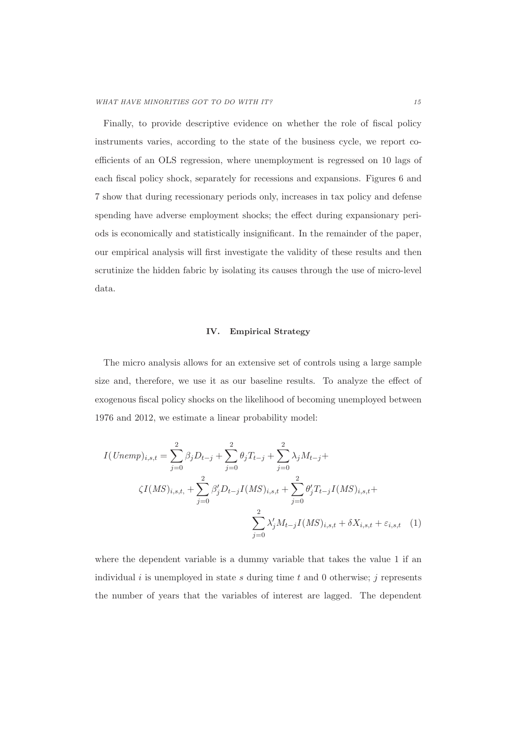Finally, to provide descriptive evidence on whether the role of fiscal policy instruments varies, according to the state of the business cycle, we report coefficients of an OLS regression, where unemployment is regressed on 10 lags of each fiscal policy shock, separately for recessions and expansions. Figures 6 and 7 show that during recessionary periods only, increases in tax policy and defense spending have adverse employment shocks; the effect during expansionary periods is economically and statistically insignificant. In the remainder of the paper, our empirical analysis will first investigate the validity of these results and then scrutinize the hidden fabric by isolating its causes through the use of micro-level data.

#### **IV. Empirical Strategy**

The micro analysis allows for an extensive set of controls using a large sample size and, therefore, we use it as our baseline results. To analyze the effect of exogenous fiscal policy shocks on the likelihood of becoming unemployed between 1976 and 2012, we estimate a linear probability model:

$$
I(Unemp)_{i,s,t} = \sum_{j=0}^{2} \beta_j D_{t-j} + \sum_{j=0}^{2} \theta_j T_{t-j} + \sum_{j=0}^{2} \lambda_j M_{t-j} +
$$
  

$$
\zeta I(MS)_{i,s,t, + \sum_{j=0}^{2} \beta_j' D_{t-j} I(MS)_{i,s,t} + \sum_{j=0}^{2} \theta_j' T_{t-j} I(MS)_{i,s,t} +
$$
  

$$
\sum_{j=0}^{2} \lambda_j' M_{t-j} I(MS)_{i,s,t} + \delta X_{i,s,t} + \varepsilon_{i,s,t} \quad (1)
$$

where the dependent variable is a dummy variable that takes the value 1 if an individual  $i$  is unemployed in state  $s$  during time  $t$  and  $0$  otherwise;  $j$  represents the number of years that the variables of interest are lagged. The dependent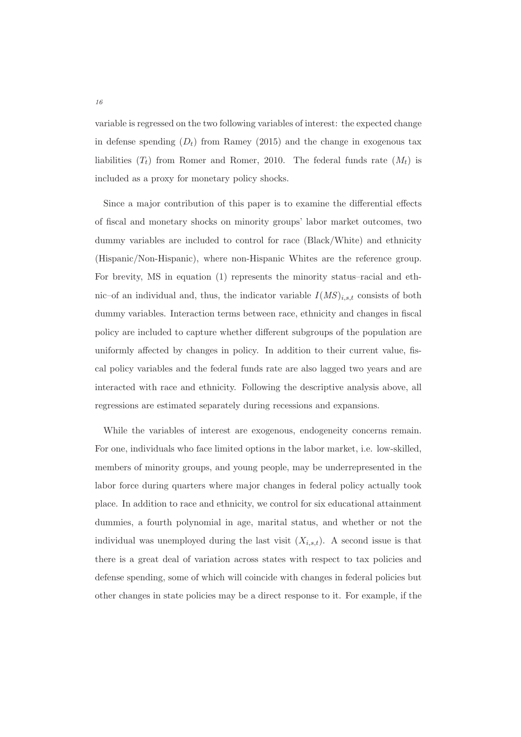variable is regressed on the two following variables of interest: the expected change in defense spending  $(D_t)$  from Ramey (2015) and the change in exogenous tax liabilities  $(T_t)$  from Romer and Romer, 2010. The federal funds rate  $(M_t)$  is included as a proxy for monetary policy shocks.

Since a major contribution of this paper is to examine the differential effects of fiscal and monetary shocks on minority groups' labor market outcomes, two dummy variables are included to control for race (Black/White) and ethnicity (Hispanic/Non-Hispanic), where non-Hispanic Whites are the reference group. For brevity, MS in equation (1) represents the minority status–racial and ethnic–of an individual and, thus, the indicator variable  $I(MS)_{i,s,t}$  consists of both dummy variables. Interaction terms between race, ethnicity and changes in fiscal policy are included to capture whether different subgroups of the population are uniformly affected by changes in policy. In addition to their current value, fiscal policy variables and the federal funds rate are also lagged two years and are interacted with race and ethnicity. Following the descriptive analysis above, all regressions are estimated separately during recessions and expansions.

While the variables of interest are exogenous, endogeneity concerns remain. For one, individuals who face limited options in the labor market, i.e. low-skilled, members of minority groups, and young people, may be underrepresented in the labor force during quarters where major changes in federal policy actually took place. In addition to race and ethnicity, we control for six educational attainment dummies, a fourth polynomial in age, marital status, and whether or not the individual was unemployed during the last visit  $(X_{i,s,t})$ . A second issue is that there is a great deal of variation across states with respect to tax policies and defense spending, some of which will coincide with changes in federal policies but other changes in state policies may be a direct response to it. For example, if the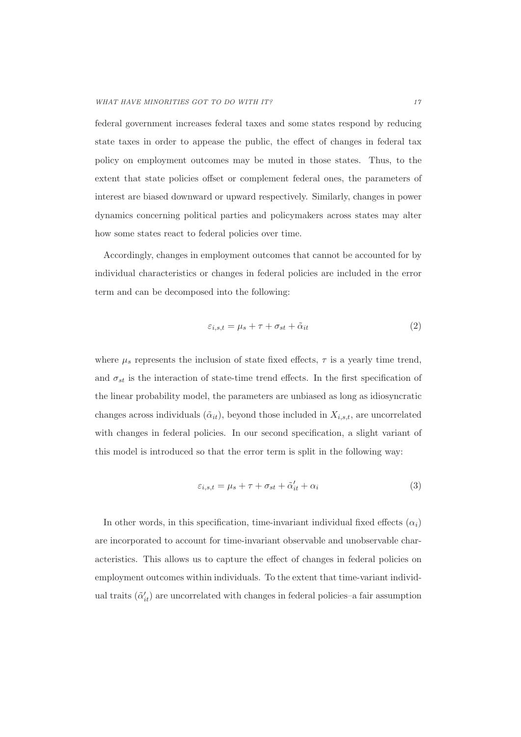federal government increases federal taxes and some states respond by reducing state taxes in order to appease the public, the effect of changes in federal tax policy on employment outcomes may be muted in those states. Thus, to the extent that state policies offset or complement federal ones, the parameters of interest are biased downward or upward respectively. Similarly, changes in power dynamics concerning political parties and policymakers across states may alter how some states react to federal policies over time.

Accordingly, changes in employment outcomes that cannot be accounted for by individual characteristics or changes in federal policies are included in the error term and can be decomposed into the following:

$$
\varepsilon_{i,s,t} = \mu_s + \tau + \sigma_{st} + \tilde{\alpha}_{it} \tag{2}
$$

where  $\mu_s$  represents the inclusion of state fixed effects,  $\tau$  is a yearly time trend, and  $\sigma_{st}$  is the interaction of state-time trend effects. In the first specification of the linear probability model, the parameters are unbiased as long as idiosyncratic changes across individuals  $(\tilde{\alpha}_{it})$ , beyond those included in  $X_{i,s,t}$ , are uncorrelated with changes in federal policies. In our second specification, a slight variant of this model is introduced so that the error term is split in the following way:

$$
\varepsilon_{i,s,t} = \mu_s + \tau + \sigma_{st} + \tilde{\alpha}'_{it} + \alpha_i \tag{3}
$$

In other words, in this specification, time-invariant individual fixed effects  $(\alpha_i)$ are incorporated to account for time-invariant observable and unobservable characteristics. This allows us to capture the effect of changes in federal policies on employment outcomes within individuals. To the extent that time-variant individual traits  $(\tilde{\alpha}'_{it})$  are uncorrelated with changes in federal policies–a fair assumption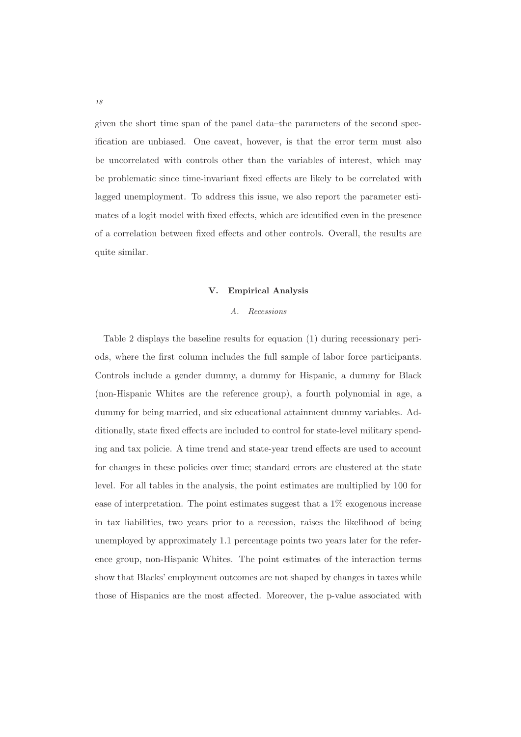given the short time span of the panel data–the parameters of the second specification are unbiased. One caveat, however, is that the error term must also be uncorrelated with controls other than the variables of interest, which may be problematic since time-invariant fixed effects are likely to be correlated with lagged unemployment. To address this issue, we also report the parameter estimates of a logit model with fixed effects, which are identified even in the presence of a correlation between fixed effects and other controls. Overall, the results are quite similar.

#### **V. Empirical Analysis**

#### A. Recessions

Table 2 displays the baseline results for equation (1) during recessionary periods, where the first column includes the full sample of labor force participants. Controls include a gender dummy, a dummy for Hispanic, a dummy for Black (non-Hispanic Whites are the reference group), a fourth polynomial in age, a dummy for being married, and six educational attainment dummy variables. Additionally, state fixed effects are included to control for state-level military spending and tax policie. A time trend and state-year trend effects are used to account for changes in these policies over time; standard errors are clustered at the state level. For all tables in the analysis, the point estimates are multiplied by 100 for ease of interpretation. The point estimates suggest that a 1% exogenous increase in tax liabilities, two years prior to a recession, raises the likelihood of being unemployed by approximately 1.1 percentage points two years later for the reference group, non-Hispanic Whites. The point estimates of the interaction terms show that Blacks' employment outcomes are not shaped by changes in taxes while those of Hispanics are the most affected. Moreover, the p-value associated with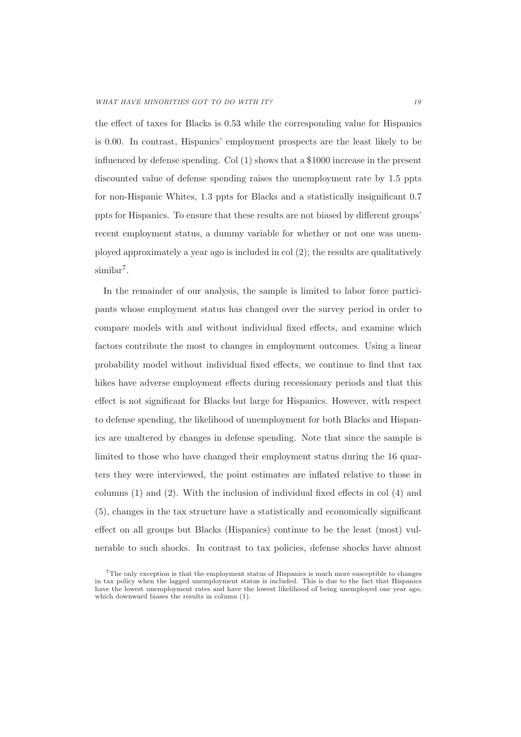the effect of taxes for Blacks is 0.53 while the corresponding value for Hispanics is 0.00. In contrast, Hispanics' employment prospects are the least likely to be influenced by defense spending. Col $(1)$  shows that a \$1000 increase in the present discounted value of defense spending raises the unemployment rate by 1.5 ppts for non-Hispanic Whites, 1.3 ppts for Blacks and a statistically insignificant 0.7 ppts for Hispanics. To ensure that these results are not biased by different groups' recent employment status, a dummy variable for whether or not one was unemployed approximately a year ago is included in col (2); the results are qualitatively  $similar<sup>7</sup>$ .

In the remainder of our analysis, the sample is limited to labor force participants whose employment status has changed over the survey period in order to compare models with and without individual fixed effects, and examine which factors contribute the most to changes in employment outcomes. Using a linear probability model without individual fixed effects, we continue to find that tax hikes have adverse employment effects during recessionary periods and that this effect is not significant for Blacks but large for Hispanics. However, with respect to defense spending, the likelihood of unemployment for both Blacks and Hispanics are unaltered by changes in defense spending. Note that since the sample is limited to those who have changed their employment status during the 16 quarters they were interviewed, the point estimates are inflated relative to those in columns (1) and (2). With the inclusion of individual fixed effects in col (4) and (5), changes in the tax structure have a statistically and economically significant effect on all groups but Blacks (Hispanics) continue to be the least (most) vulnerable to such shocks. In contrast to tax policies, defense shocks have almost

 ${\rm ^7The}$  only exception is that the employment status of Hispanics is much more susceptible to changes in tax policy when the lagged unemployment status is included. This is due to the fact that Hispanics have the lowest unemployment rates and have the lowest likelihood of being unemployed one year ago, which downward biases the results in column (1).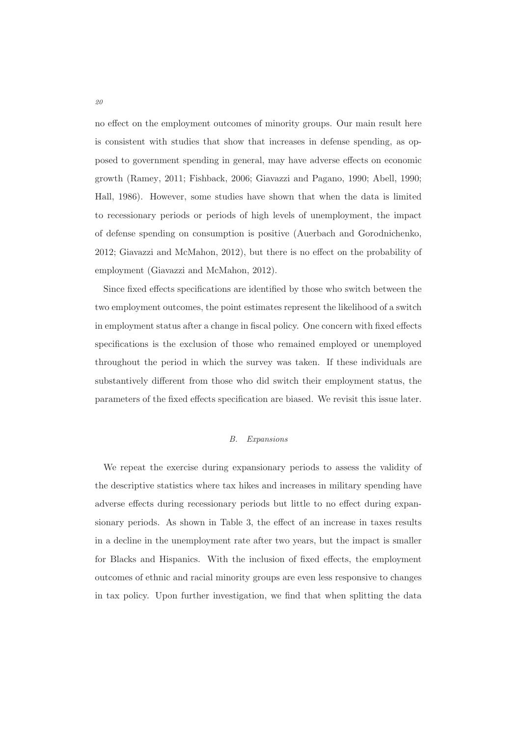no effect on the employment outcomes of minority groups. Our main result here is consistent with studies that show that increases in defense spending, as opposed to government spending in general, may have adverse effects on economic growth (Ramey, 2011; Fishback, 2006; Giavazzi and Pagano, 1990; Abell, 1990; Hall, 1986). However, some studies have shown that when the data is limited to recessionary periods or periods of high levels of unemployment, the impact of defense spending on consumption is positive (Auerbach and Gorodnichenko, 2012; Giavazzi and McMahon, 2012), but there is no effect on the probability of employment (Giavazzi and McMahon, 2012).

Since fixed effects specifications are identified by those who switch between the two employment outcomes, the point estimates represent the likelihood of a switch in employment status after a change in fiscal policy. One concern with fixed effects specifications is the exclusion of those who remained employed or unemployed throughout the period in which the survey was taken. If these individuals are substantively different from those who did switch their employment status, the parameters of the fixed effects specification are biased. We revisit this issue later.

#### B. Expansions

We repeat the exercise during expansionary periods to assess the validity of the descriptive statistics where tax hikes and increases in military spending have adverse effects during recessionary periods but little to no effect during expansionary periods. As shown in Table 3, the effect of an increase in taxes results in a decline in the unemployment rate after two years, but the impact is smaller for Blacks and Hispanics. With the inclusion of fixed effects, the employment outcomes of ethnic and racial minority groups are even less responsive to changes in tax policy. Upon further investigation, we find that when splitting the data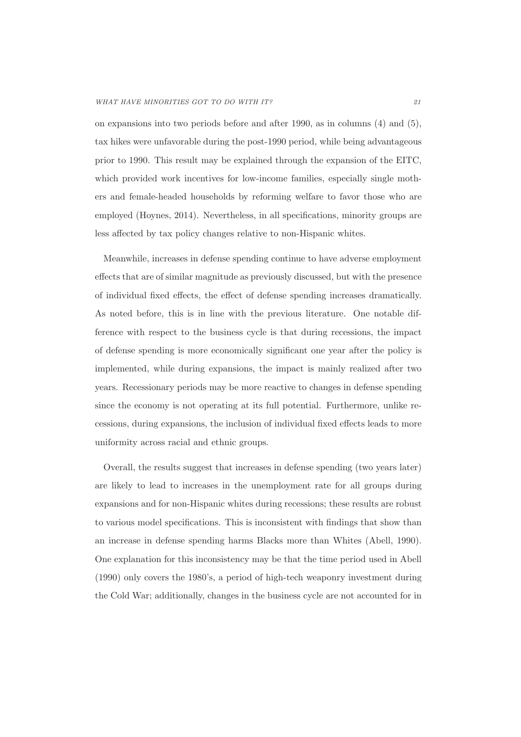on expansions into two periods before and after 1990, as in columns (4) and (5), tax hikes were unfavorable during the post-1990 period, while being advantageous prior to 1990. This result may be explained through the expansion of the EITC, which provided work incentives for low-income families, especially single mothers and female-headed households by reforming welfare to favor those who are employed (Hoynes, 2014). Nevertheless, in all specifications, minority groups are less affected by tax policy changes relative to non-Hispanic whites.

Meanwhile, increases in defense spending continue to have adverse employment effects that are of similar magnitude as previously discussed, but with the presence of individual fixed effects, the effect of defense spending increases dramatically. As noted before, this is in line with the previous literature. One notable difference with respect to the business cycle is that during recessions, the impact of defense spending is more economically significant one year after the policy is implemented, while during expansions, the impact is mainly realized after two years. Recessionary periods may be more reactive to changes in defense spending since the economy is not operating at its full potential. Furthermore, unlike recessions, during expansions, the inclusion of individual fixed effects leads to more uniformity across racial and ethnic groups.

Overall, the results suggest that increases in defense spending (two years later) are likely to lead to increases in the unemployment rate for all groups during expansions and for non-Hispanic whites during recessions; these results are robust to various model specifications. This is inconsistent with findings that show than an increase in defense spending harms Blacks more than Whites (Abell, 1990). One explanation for this inconsistency may be that the time period used in Abell (1990) only covers the 1980's, a period of high-tech weaponry investment during the Cold War; additionally, changes in the business cycle are not accounted for in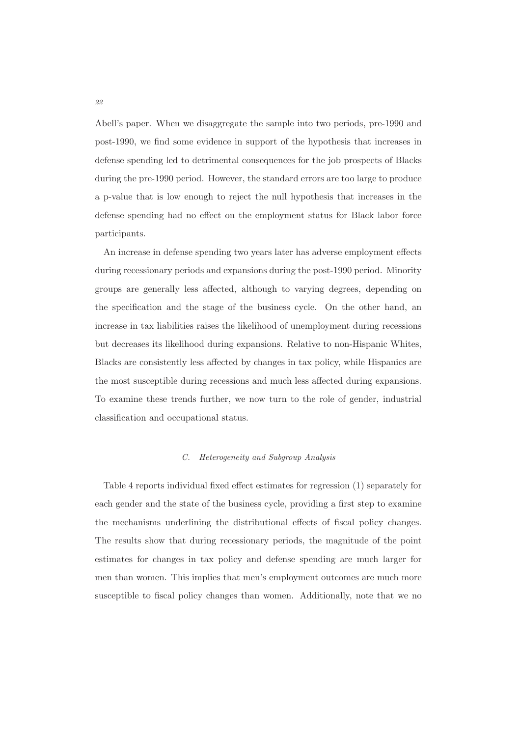Abell's paper. When we disaggregate the sample into two periods, pre-1990 and post-1990, we find some evidence in support of the hypothesis that increases in defense spending led to detrimental consequences for the job prospects of Blacks during the pre-1990 period. However, the standard errors are too large to produce a p-value that is low enough to reject the null hypothesis that increases in the defense spending had no effect on the employment status for Black labor force participants.

An increase in defense spending two years later has adverse employment effects during recessionary periods and expansions during the post-1990 period. Minority groups are generally less affected, although to varying degrees, depending on the specification and the stage of the business cycle. On the other hand, an increase in tax liabilities raises the likelihood of unemployment during recessions but decreases its likelihood during expansions. Relative to non-Hispanic Whites, Blacks are consistently less affected by changes in tax policy, while Hispanics are the most susceptible during recessions and much less affected during expansions. To examine these trends further, we now turn to the role of gender, industrial classification and occupational status.

#### C. Heterogeneity and Subgroup Analysis

Table 4 reports individual fixed effect estimates for regression (1) separately for each gender and the state of the business cycle, providing a first step to examine the mechanisms underlining the distributional effects of fiscal policy changes. The results show that during recessionary periods, the magnitude of the point estimates for changes in tax policy and defense spending are much larger for men than women. This implies that men's employment outcomes are much more susceptible to fiscal policy changes than women. Additionally, note that we no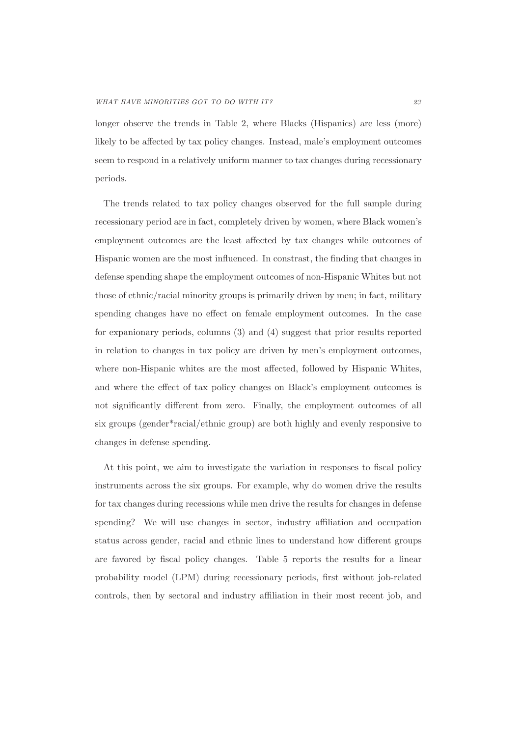longer observe the trends in Table 2, where Blacks (Hispanics) are less (more) likely to be affected by tax policy changes. Instead, male's employment outcomes seem to respond in a relatively uniform manner to tax changes during recessionary periods.

The trends related to tax policy changes observed for the full sample during recessionary period are in fact, completely driven by women, where Black women's employment outcomes are the least affected by tax changes while outcomes of Hispanic women are the most influenced. In constrast, the finding that changes in defense spending shape the employment outcomes of non-Hispanic Whites but not those of ethnic/racial minority groups is primarily driven by men; in fact, military spending changes have no effect on female employment outcomes. In the case for expanionary periods, columns (3) and (4) suggest that prior results reported in relation to changes in tax policy are driven by men's employment outcomes, where non-Hispanic whites are the most affected, followed by Hispanic Whites, and where the effect of tax policy changes on Black's employment outcomes is not significantly different from zero. Finally, the employment outcomes of all six groups (gender\*racial/ethnic group) are both highly and evenly responsive to changes in defense spending.

At this point, we aim to investigate the variation in responses to fiscal policy instruments across the six groups. For example, why do women drive the results for tax changes during recessions while men drive the results for changes in defense spending? We will use changes in sector, industry affiliation and occupation status across gender, racial and ethnic lines to understand how different groups are favored by fiscal policy changes. Table 5 reports the results for a linear probability model (LPM) during recessionary periods, first without job-related controls, then by sectoral and industry affiliation in their most recent job, and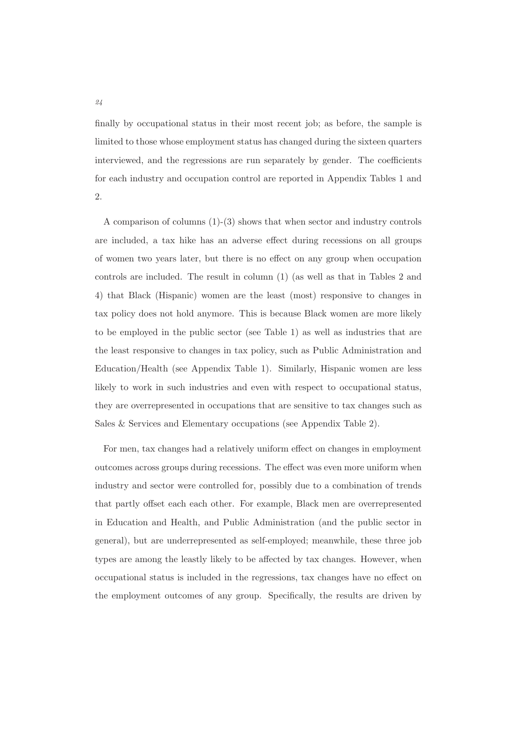finally by occupational status in their most recent job; as before, the sample is limited to those whose employment status has changed during the sixteen quarters interviewed, and the regressions are run separately by gender. The coefficients for each industry and occupation control are reported in Appendix Tables 1 and 2.

A comparison of columns (1)-(3) shows that when sector and industry controls are included, a tax hike has an adverse effect during recessions on all groups of women two years later, but there is no effect on any group when occupation controls are included. The result in column (1) (as well as that in Tables 2 and 4) that Black (Hispanic) women are the least (most) responsive to changes in tax policy does not hold anymore. This is because Black women are more likely to be employed in the public sector (see Table 1) as well as industries that are the least responsive to changes in tax policy, such as Public Administration and Education/Health (see Appendix Table 1). Similarly, Hispanic women are less likely to work in such industries and even with respect to occupational status, they are overrepresented in occupations that are sensitive to tax changes such as Sales & Services and Elementary occupations (see Appendix Table 2).

For men, tax changes had a relatively uniform effect on changes in employment outcomes across groups during recessions. The effect was even more uniform when industry and sector were controlled for, possibly due to a combination of trends that partly offset each each other. For example, Black men are overrepresented in Education and Health, and Public Administration (and the public sector in general), but are underrepresented as self-employed; meanwhile, these three job types are among the leastly likely to be affected by tax changes. However, when occupational status is included in the regressions, tax changes have no effect on the employment outcomes of any group. Specifically, the results are driven by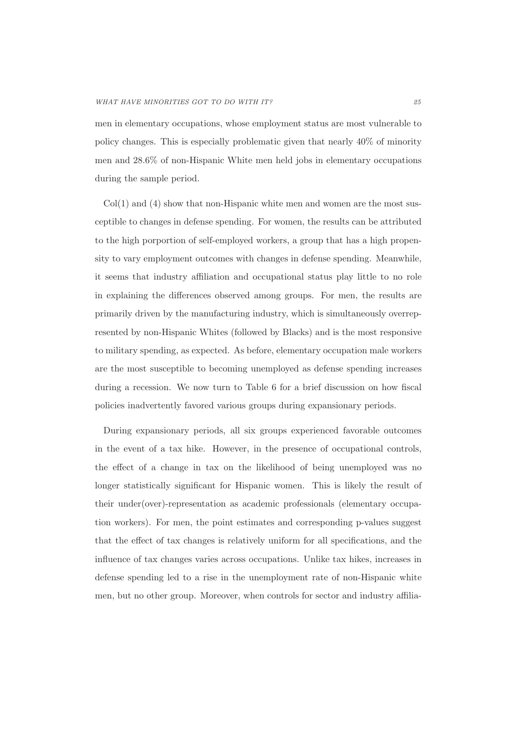men in elementary occupations, whose employment status are most vulnerable to policy changes. This is especially problematic given that nearly 40% of minority men and 28.6% of non-Hispanic White men held jobs in elementary occupations during the sample period.

 $Col(1)$  and  $(4)$  show that non-Hispanic white men and women are the most susceptible to changes in defense spending. For women, the results can be attributed to the high porportion of self-employed workers, a group that has a high propensity to vary employment outcomes with changes in defense spending. Meanwhile, it seems that industry affiliation and occupational status play little to no role in explaining the differences observed among groups. For men, the results are primarily driven by the manufacturing industry, which is simultaneously overrepresented by non-Hispanic Whites (followed by Blacks) and is the most responsive to military spending, as expected. As before, elementary occupation male workers are the most susceptible to becoming unemployed as defense spending increases during a recession. We now turn to Table 6 for a brief discussion on how fiscal policies inadvertently favored various groups during expansionary periods.

During expansionary periods, all six groups experienced favorable outcomes in the event of a tax hike. However, in the presence of occupational controls, the effect of a change in tax on the likelihood of being unemployed was no longer statistically significant for Hispanic women. This is likely the result of their under(over)-representation as academic professionals (elementary occupation workers). For men, the point estimates and corresponding p-values suggest that the effect of tax changes is relatively uniform for all specifications, and the influence of tax changes varies across occupations. Unlike tax hikes, increases in defense spending led to a rise in the unemployment rate of non-Hispanic white men, but no other group. Moreover, when controls for sector and industry affilia-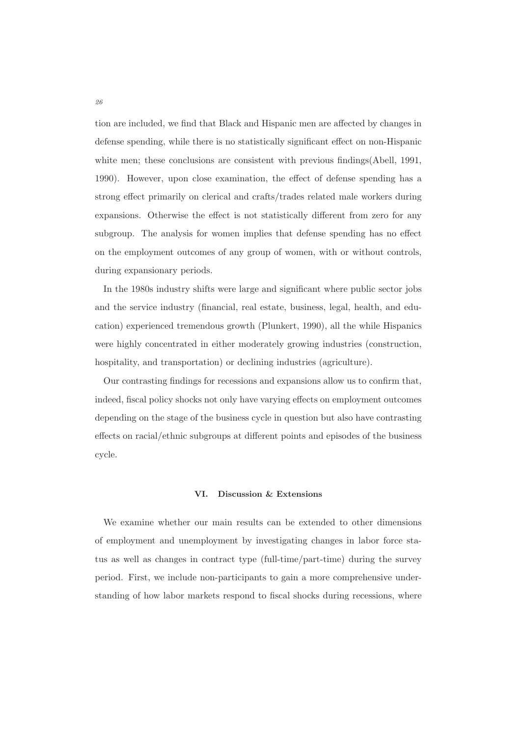tion are included, we find that Black and Hispanic men are affected by changes in defense spending, while there is no statistically significant effect on non-Hispanic white men; these conclusions are consistent with previous findings(Abell, 1991, 1990). However, upon close examination, the effect of defense spending has a strong effect primarily on clerical and crafts/trades related male workers during expansions. Otherwise the effect is not statistically different from zero for any subgroup. The analysis for women implies that defense spending has no effect on the employment outcomes of any group of women, with or without controls, during expansionary periods.

In the 1980s industry shifts were large and significant where public sector jobs and the service industry (financial, real estate, business, legal, health, and education) experienced tremendous growth (Plunkert, 1990), all the while Hispanics were highly concentrated in either moderately growing industries (construction, hospitality, and transportation) or declining industries (agriculture).

Our contrasting findings for recessions and expansions allow us to confirm that, indeed, fiscal policy shocks not only have varying effects on employment outcomes depending on the stage of the business cycle in question but also have contrasting effects on racial/ethnic subgroups at different points and episodes of the business cycle.

#### **VI. Discussion & Extensions**

We examine whether our main results can be extended to other dimensions of employment and unemployment by investigating changes in labor force status as well as changes in contract type (full-time/part-time) during the survey period. First, we include non-participants to gain a more comprehensive understanding of how labor markets respond to fiscal shocks during recessions, where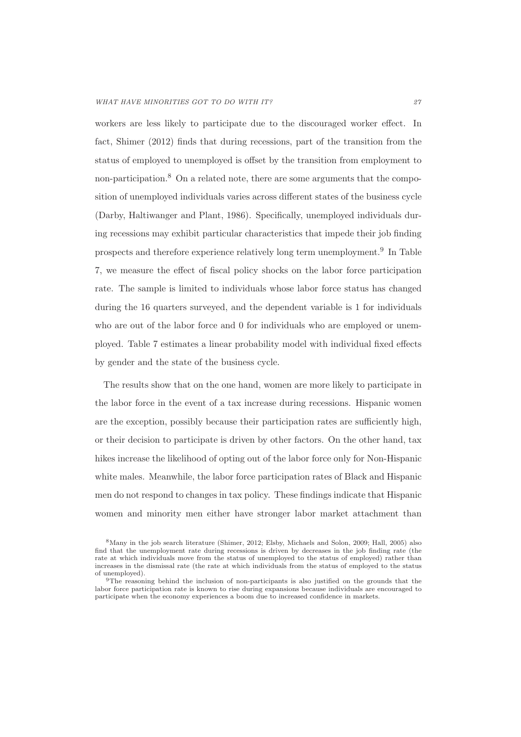workers are less likely to participate due to the discouraged worker effect. In fact, Shimer (2012) finds that during recessions, part of the transition from the status of employed to unemployed is offset by the transition from employment to non-participation.<sup>8</sup> On a related note, there are some arguments that the composition of unemployed individuals varies across different states of the business cycle (Darby, Haltiwanger and Plant, 1986). Specifically, unemployed individuals during recessions may exhibit particular characteristics that impede their job finding prospects and therefore experience relatively long term unemployment.<sup>9</sup> In Table 7, we measure the effect of fiscal policy shocks on the labor force participation rate. The sample is limited to individuals whose labor force status has changed during the 16 quarters surveyed, and the dependent variable is 1 for individuals who are out of the labor force and 0 for individuals who are employed or unemployed. Table 7 estimates a linear probability model with individual fixed effects by gender and the state of the business cycle.

The results show that on the one hand, women are more likely to participate in the labor force in the event of a tax increase during recessions. Hispanic women are the exception, possibly because their participation rates are sufficiently high, or their decision to participate is driven by other factors. On the other hand, tax hikes increase the likelihood of opting out of the labor force only for Non-Hispanic white males. Meanwhile, the labor force participation rates of Black and Hispanic men do not respond to changes in tax policy. These findings indicate that Hispanic women and minority men either have stronger labor market attachment than

<sup>8</sup>Many in the job search literature (Shimer, 2012; Elsby, Michaels and Solon, 2009; Hall, 2005) also find that the unemployment rate during recessions is driven by decreases in the job finding rate (the rate at which individuals move from the status of unemployed to the status of employed) rather than increases in the dismissal rate (the rate at which individuals from the status of employed to the status of unemployed).

<sup>9</sup>The reasoning behind the inclusion of non-participants is also justified on the grounds that the labor force participation rate is known to rise during expansions because individuals are encouraged to participate when the economy experiences a boom due to increased confidence in markets.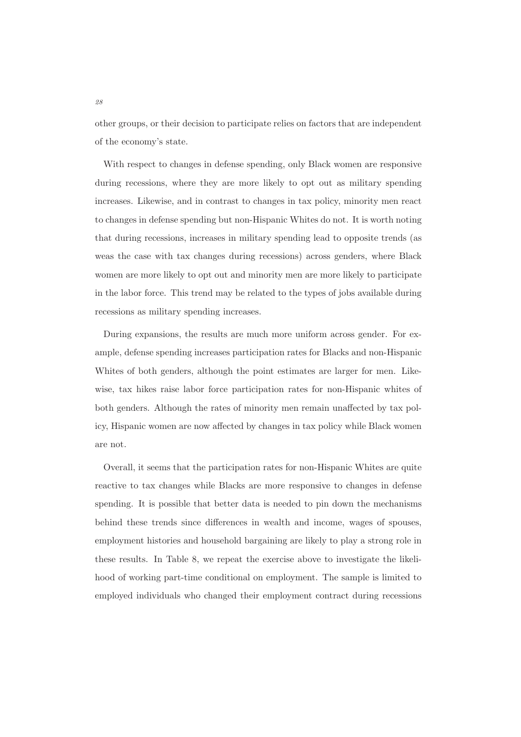other groups, or their decision to participate relies on factors that are independent of the economy's state.

With respect to changes in defense spending, only Black women are responsive during recessions, where they are more likely to opt out as military spending increases. Likewise, and in contrast to changes in tax policy, minority men react to changes in defense spending but non-Hispanic Whites do not. It is worth noting that during recessions, increases in military spending lead to opposite trends (as weas the case with tax changes during recessions) across genders, where Black women are more likely to opt out and minority men are more likely to participate in the labor force. This trend may be related to the types of jobs available during recessions as military spending increases.

During expansions, the results are much more uniform across gender. For example, defense spending increases participation rates for Blacks and non-Hispanic Whites of both genders, although the point estimates are larger for men. Likewise, tax hikes raise labor force participation rates for non-Hispanic whites of both genders. Although the rates of minority men remain unaffected by tax policy, Hispanic women are now affected by changes in tax policy while Black women are not.

Overall, it seems that the participation rates for non-Hispanic Whites are quite reactive to tax changes while Blacks are more responsive to changes in defense spending. It is possible that better data is needed to pin down the mechanisms behind these trends since differences in wealth and income, wages of spouses, employment histories and household bargaining are likely to play a strong role in these results. In Table 8, we repeat the exercise above to investigate the likelihood of working part-time conditional on employment. The sample is limited to employed individuals who changed their employment contract during recessions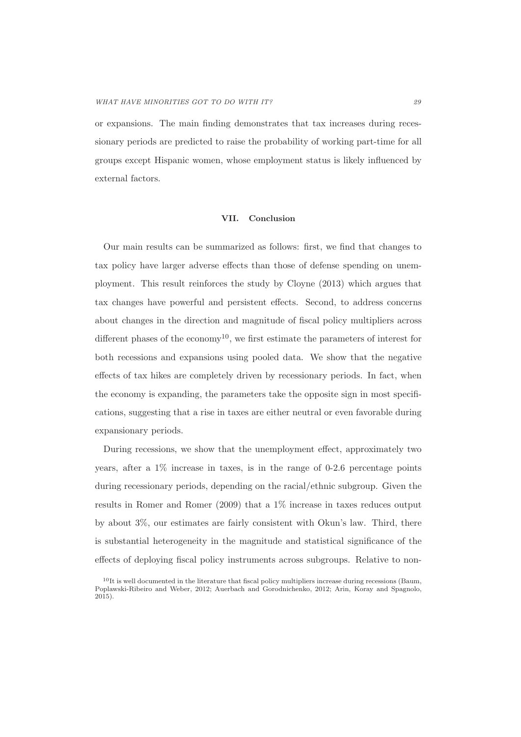or expansions. The main finding demonstrates that tax increases during recessionary periods are predicted to raise the probability of working part-time for all groups except Hispanic women, whose employment status is likely influenced by external factors.

#### **VII. Conclusion**

Our main results can be summarized as follows: first, we find that changes to tax policy have larger adverse effects than those of defense spending on unemployment. This result reinforces the study by Cloyne (2013) which argues that tax changes have powerful and persistent effects. Second, to address concerns about changes in the direction and magnitude of fiscal policy multipliers across different phases of the economy<sup>10</sup>, we first estimate the parameters of interest for both recessions and expansions using pooled data. We show that the negative effects of tax hikes are completely driven by recessionary periods. In fact, when the economy is expanding, the parameters take the opposite sign in most specifications, suggesting that a rise in taxes are either neutral or even favorable during expansionary periods.

During recessions, we show that the unemployment effect, approximately two years, after a 1% increase in taxes, is in the range of 0-2.6 percentage points during recessionary periods, depending on the racial/ethnic subgroup. Given the results in Romer and Romer (2009) that a 1% increase in taxes reduces output by about 3%, our estimates are fairly consistent with Okun's law. Third, there is substantial heterogeneity in the magnitude and statistical significance of the effects of deploying fiscal policy instruments across subgroups. Relative to non-

 $10$ It is well documented in the literature that fiscal policy multipliers increase during recessions (Baum, Poplawski-Ribeiro and Weber, 2012; Auerbach and Gorodnichenko, 2012; Arin, Koray and Spagnolo, 2015).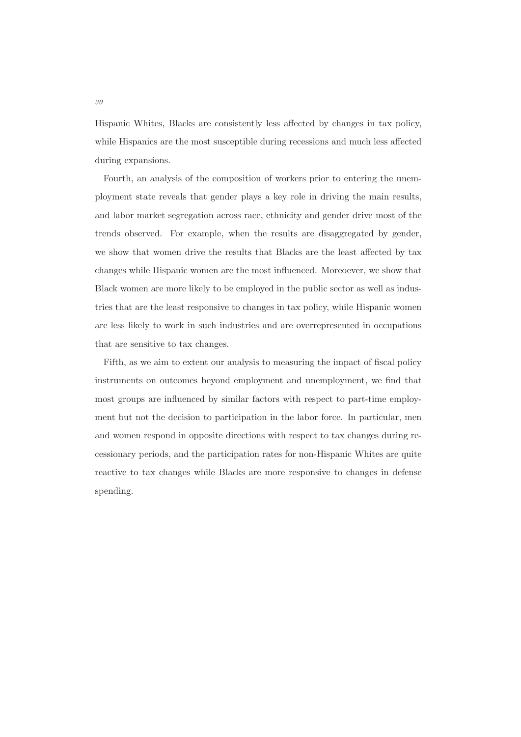Hispanic Whites, Blacks are consistently less affected by changes in tax policy, while Hispanics are the most susceptible during recessions and much less affected during expansions.

Fourth, an analysis of the composition of workers prior to entering the unemployment state reveals that gender plays a key role in driving the main results, and labor market segregation across race, ethnicity and gender drive most of the trends observed. For example, when the results are disaggregated by gender, we show that women drive the results that Blacks are the least affected by tax changes while Hispanic women are the most influenced. Moreoever, we show that Black women are more likely to be employed in the public sector as well as industries that are the least responsive to changes in tax policy, while Hispanic women are less likely to work in such industries and are overrepresented in occupations that are sensitive to tax changes.

Fifth, as we aim to extent our analysis to measuring the impact of fiscal policy instruments on outcomes beyond employment and unemployment, we find that most groups are influenced by similar factors with respect to part-time employment but not the decision to participation in the labor force. In particular, men and women respond in opposite directions with respect to tax changes during recessionary periods, and the participation rates for non-Hispanic Whites are quite reactive to tax changes while Blacks are more responsive to changes in defense spending.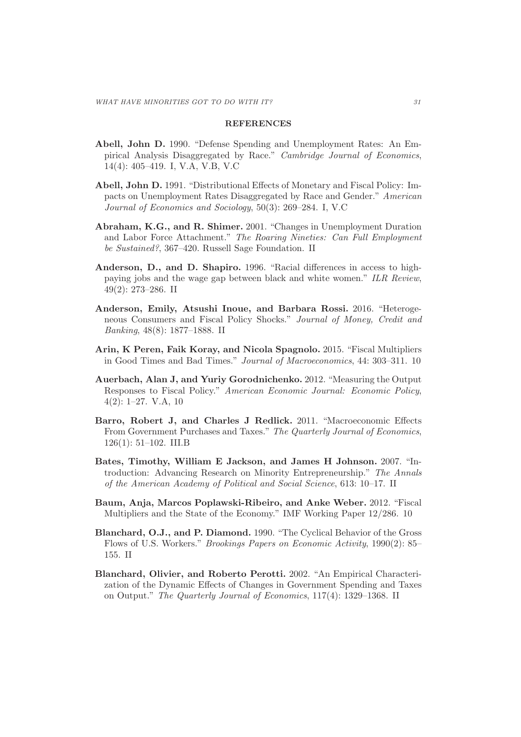#### **REFERENCES**

- **Abell, John D.** 1990. "Defense Spending and Unemployment Rates: An Empirical Analysis Disaggregated by Race." Cambridge Journal of Economics, 14(4): 405–419. I, V.A, V.B, V.C
- **Abell, John D.** 1991. "Distributional Effects of Monetary and Fiscal Policy: Impacts on Unemployment Rates Disaggregated by Race and Gender." American Journal of Economics and Sociology, 50(3): 269–284. I, V.C
- **Abraham, K.G., and R. Shimer.** 2001. "Changes in Unemployment Duration and Labor Force Attachment." The Roaring Nineties: Can Full Employment be Sustained?, 367–420. Russell Sage Foundation. II
- **Anderson, D., and D. Shapiro.** 1996. "Racial differences in access to highpaying jobs and the wage gap between black and white women." ILR Review, 49(2): 273–286. II
- **Anderson, Emily, Atsushi Inoue, and Barbara Rossi.** 2016. "Heterogeneous Consumers and Fiscal Policy Shocks." Journal of Money, Credit and Banking, 48(8): 1877–1888. II
- **Arin, K Peren, Faik Koray, and Nicola Spagnolo.** 2015. "Fiscal Multipliers in Good Times and Bad Times." Journal of Macroeconomics, 44: 303–311. 10
- **Auerbach, Alan J, and Yuriy Gorodnichenko.** 2012. "Measuring the Output Responses to Fiscal Policy." American Economic Journal: Economic Policy, 4(2): 1–27. V.A, 10
- **Barro, Robert J, and Charles J Redlick.** 2011. "Macroeconomic Effects From Government Purchases and Taxes." The Quarterly Journal of Economics, 126(1): 51–102. III.B
- **Bates, Timothy, William E Jackson, and James H Johnson.** 2007. "Introduction: Advancing Research on Minority Entrepreneurship." The Annals of the American Academy of Political and Social Science, 613: 10–17. II
- **Baum, Anja, Marcos Poplawski-Ribeiro, and Anke Weber.** 2012. "Fiscal Multipliers and the State of the Economy." IMF Working Paper 12/286. 10
- **Blanchard, O.J., and P. Diamond.** 1990. "The Cyclical Behavior of the Gross Flows of U.S. Workers." Brookings Papers on Economic Activity, 1990(2): 85– 155. II
- **Blanchard, Olivier, and Roberto Perotti.** 2002. "An Empirical Characterization of the Dynamic Effects of Changes in Government Spending and Taxes on Output." The Quarterly Journal of Economics, 117(4): 1329–1368. II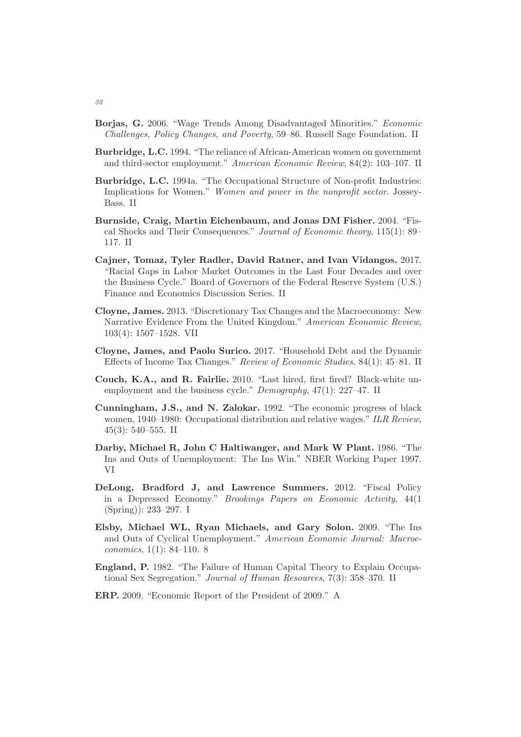- **Borjas, G.** 2006. "Wage Trends Among Disadvantaged Minorities." Economic Challenges, Policy Changes, and Poverty, 59–86. Russell Sage Foundation. II
- **Burbridge, L.C.** 1994. "The reliance of African-American women on government and third-sector employment." American Economic Review, 84(2): 103–107. II
- **Burbridge, L.C.** 1994a. "The Occupational Structure of Non-profit Industries: Implications for Women." Women and power in the nonprofit sector. Jossey-Bass. II
- **Burnside, Craig, Martin Eichenbaum, and Jonas DM Fisher.** 2004. "Fiscal Shocks and Their Consequences." Journal of Economic theory, 115(1): 89– 117. II
- **Cajner, Tomaz, Tyler Radler, David Ratner, and Ivan Vidangos.** 2017. "Racial Gaps in Labor Market Outcomes in the Last Four Decades and over the Business Cycle." Board of Governors of the Federal Reserve System (U.S.) Finance and Economics Discussion Series. II
- **Cloyne, James.** 2013. "Discretionary Tax Changes and the Macroeconomy: New Narrative Evidence From the United Kingdom." American Economic Review, 103(4): 1507–1528. VII
- **Cloyne, James, and Paolo Surico.** 2017. "Household Debt and the Dynamic Effects of Income Tax Changes." Review of Economic Studies, 84(1): 45–81. II
- **Couch, K.A., and R. Fairlie.** 2010. "Last hired, first fired? Black-white unemployment and the business cycle." *Demography*, 47(1): 227–47. II
- **Cunningham, J.S., and N. Zalokar.** 1992. "The economic progress of black women, 1940–1980: Occupational distribution and relative wages." ILR Review, 45(3): 540–555. II
- **Darby, Michael R, John C Haltiwanger, and Mark W Plant.** 1986. "The Ins and Outs of Unemployment: The Ins Win." NBER Working Paper 1997. VI
- **DeLong, Bradford J, and Lawrence Summers.** 2012. "Fiscal Policy in a Depressed Economy." Brookings Papers on Economic Activity, 44(1 (Spring)): 233–297. I
- **Elsby, Michael WL, Ryan Michaels, and Gary Solon.** 2009. "The Ins and Outs of Cyclical Unemployment." American Economic Journal: Macroeconomics, 1(1): 84–110. 8
- **England, P.** 1982. "The Failure of Human Capital Theory to Explain Occupational Sex Segregation." Journal of Human Resources, 7(3): 358–370. II
- **ERP.** 2009. "Economic Report of the President of 2009." A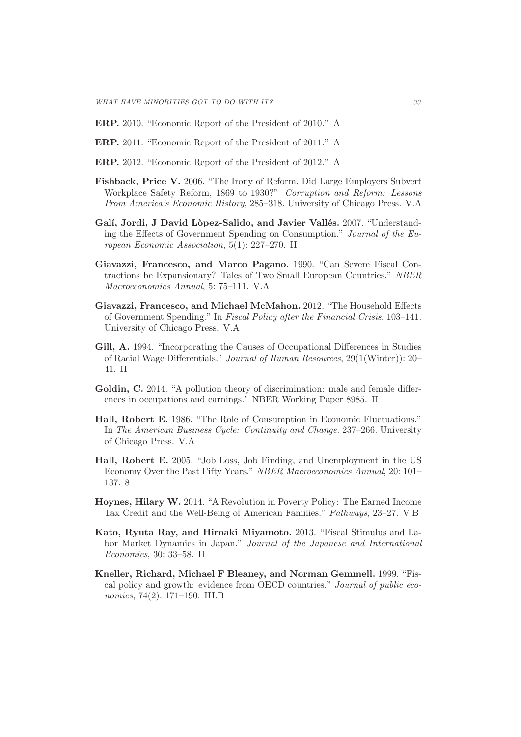- **ERP.** 2010. "Economic Report of the President of 2010." A
- **ERP.** 2011. "Economic Report of the President of 2011." A
- **ERP.** 2012. "Economic Report of the President of 2012." A
- **Fishback, Price V.** 2006. "The Irony of Reform. Did Large Employers Subvert Workplace Safety Reform, 1869 to 1930?" Corruption and Reform: Lessons From America's Economic History, 285–318. University of Chicago Press. V.A
- Galí, Jordi, J David Lòpez-Salido, and Javier Vallés. 2007. "Understanding the Effects of Government Spending on Consumption." Journal of the European Economic Association, 5(1): 227–270. II
- **Giavazzi, Francesco, and Marco Pagano.** 1990. "Can Severe Fiscal Contractions be Expansionary? Tales of Two Small European Countries." NBER Macroeconomics Annual, 5: 75–111. V.A
- **Giavazzi, Francesco, and Michael McMahon.** 2012. "The Household Effects of Government Spending." In Fiscal Policy after the Financial Crisis. 103–141. University of Chicago Press. V.A
- **Gill, A.** 1994. "Incorporating the Causes of Occupational Differences in Studies of Racial Wage Differentials." Journal of Human Resources, 29(1(Winter)): 20– 41. II
- **Goldin, C.** 2014. "A pollution theory of discrimination: male and female differences in occupations and earnings." NBER Working Paper 8985. II
- **Hall, Robert E.** 1986. "The Role of Consumption in Economic Fluctuations." In The American Business Cycle: Continuity and Change. 237–266. University of Chicago Press. V.A
- **Hall, Robert E.** 2005. "Job Loss, Job Finding, and Unemployment in the US Economy Over the Past Fifty Years." NBER Macroeconomics Annual, 20: 101– 137. 8
- **Hoynes, Hilary W.** 2014. "A Revolution in Poverty Policy: The Earned Income Tax Credit and the Well-Being of American Families." Pathways, 23–27. V.B
- **Kato, Ryuta Ray, and Hiroaki Miyamoto.** 2013. "Fiscal Stimulus and Labor Market Dynamics in Japan." Journal of the Japanese and International Economies, 30: 33–58. II
- **Kneller, Richard, Michael F Bleaney, and Norman Gemmell.** 1999. "Fiscal policy and growth: evidence from OECD countries." Journal of public economics, 74(2): 171–190. III.B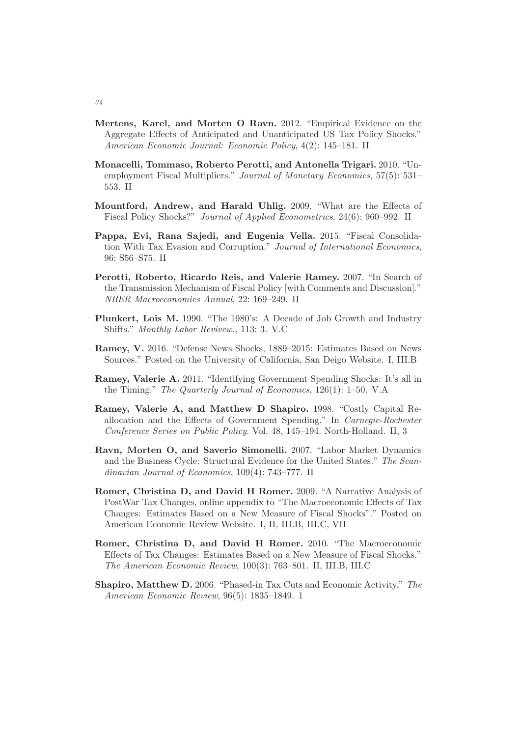- **Mertens, Karel, and Morten O Ravn.** 2012. "Empirical Evidence on the Aggregate Effects of Anticipated and Unanticipated US Tax Policy Shocks." American Economic Journal: Economic Policy, 4(2): 145–181. II
- **Monacelli, Tommaso, Roberto Perotti, and Antonella Trigari.** 2010. "Unemployment Fiscal Multipliers." Journal of Monetary Economics, 57(5): 531-553. II
- **Mountford, Andrew, and Harald Uhlig.** 2009. "What are the Effects of Fiscal Policy Shocks?" Journal of Applied Econometrics, 24(6): 960–992. II
- **Pappa, Evi, Rana Sajedi, and Eugenia Vella.** 2015. "Fiscal Consolidation With Tax Evasion and Corruption." Journal of International Economics, 96: S56–S75. II
- **Perotti, Roberto, Ricardo Reis, and Valerie Ramey.** 2007. "In Search of the Transmission Mechanism of Fiscal Policy [with Comments and Discussion]." NBER Macroeconomics Annual, 22: 169–249. II
- **Plunkert, Lois M.** 1990. "The 1980's: A Decade of Job Growth and Industry Shifts." Monthly Labor Revivew., 113: 3. V.C
- **Ramey, V.** 2016. "Defense News Shocks, 1889–2015: Estimates Based on News Sources." Posted on the University of California, San Deigo Website. I, III.B
- **Ramey, Valerie A.** 2011. "Identifying Government Spending Shocks: It's all in the Timing." The Quarterly Journal of Economics, 126(1): 1–50. V.A
- **Ramey, Valerie A, and Matthew D Shapiro.** 1998. "Costly Capital Reallocation and the Effects of Government Spending." In Carnegie-Rochester Conference Series on Public Policy. Vol. 48, 145–194. North-Holland. II, 3
- **Ravn, Morten O, and Saverio Simonelli.** 2007. "Labor Market Dynamics and the Business Cycle: Structural Evidence for the United States." The Scandinavian Journal of Economics, 109(4): 743–777. II
- **Romer, Christina D, and David H Romer.** 2009. "A Narrative Analysis of PostWar Tax Changes, online appendix to "The Macroeconomic Effects of Tax Changes: Estimates Based on a New Measure of Fiscal Shocks"." Posted on American Economic Review Website. I, II, III.B, III.C, VII
- **Romer, Christina D, and David H Romer.** 2010. "The Macroeconomic Effects of Tax Changes: Estimates Based on a New Measure of Fiscal Shocks." The American Economic Review, 100(3): 763–801. II, III.B, III.C
- **Shapiro, Matthew D.** 2006. "Phased-in Tax Cuts and Economic Activity." The American Economic Review, 96(5): 1835–1849. 1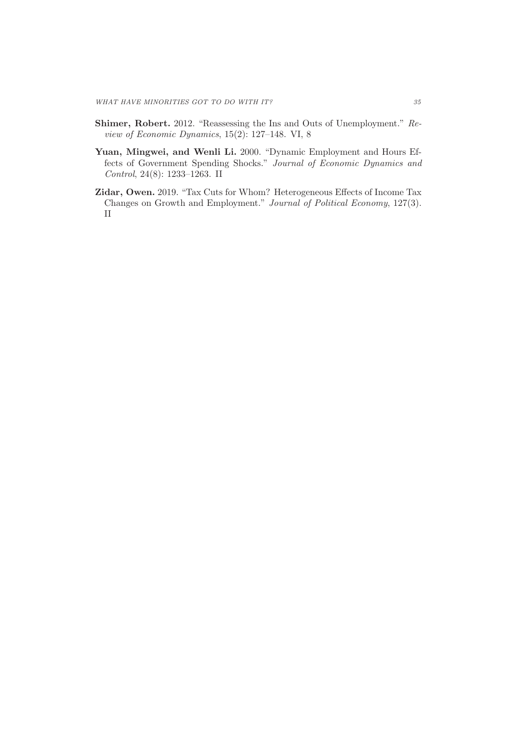- **Shimer, Robert.** 2012. "Reassessing the Ins and Outs of Unemployment." Review of Economic Dynamics, 15(2): 127–148. VI, 8
- **Yuan, Mingwei, and Wenli Li.** 2000. "Dynamic Employment and Hours Effects of Government Spending Shocks." Journal of Economic Dynamics and Control, 24(8): 1233–1263. II
- **Zidar, Owen.** 2019. "Tax Cuts for Whom? Heterogeneous Effects of Income Tax Changes on Growth and Employment." Journal of Political Economy, 127(3). II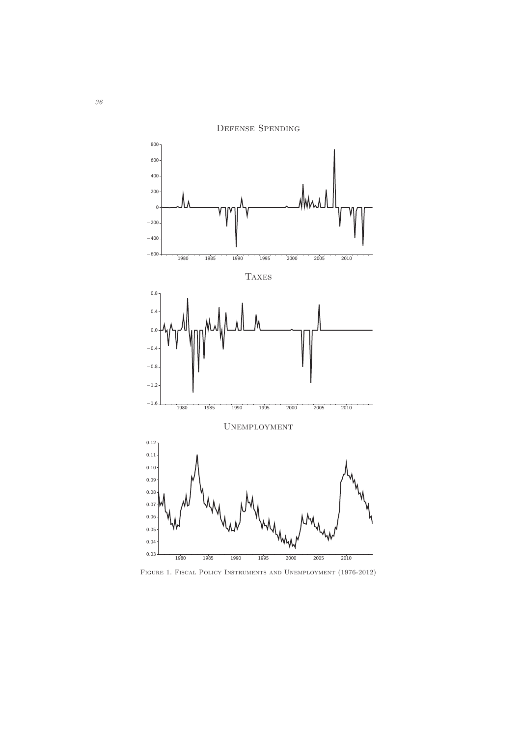

Defense Spending

Figure 1. Fiscal Policy Instruments and Unemployment (1976-2012)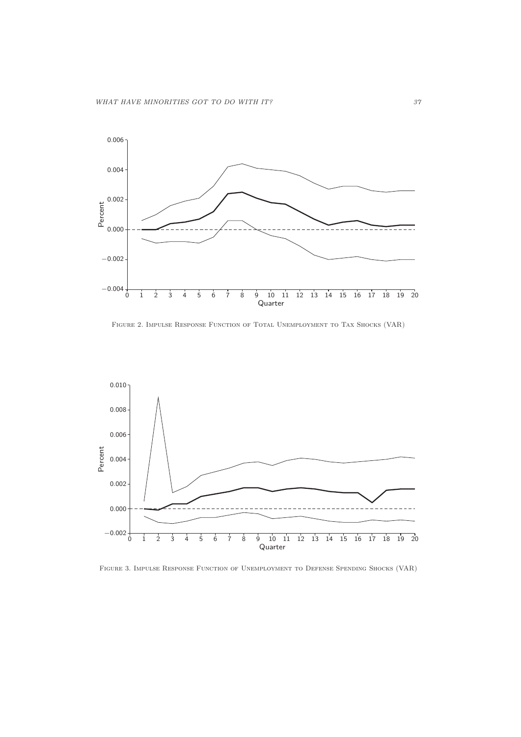

FIGURE 2. IMPULSE RESPONSE FUNCTION OF TOTAL UNEMPLOYMENT TO TAX SHOCKS (VAR)



FIGURE 3. IMPULSE RESPONSE FUNCTION OF UNEMPLOYMENT TO DEFENSE SPENDING SHOCKS (VAR)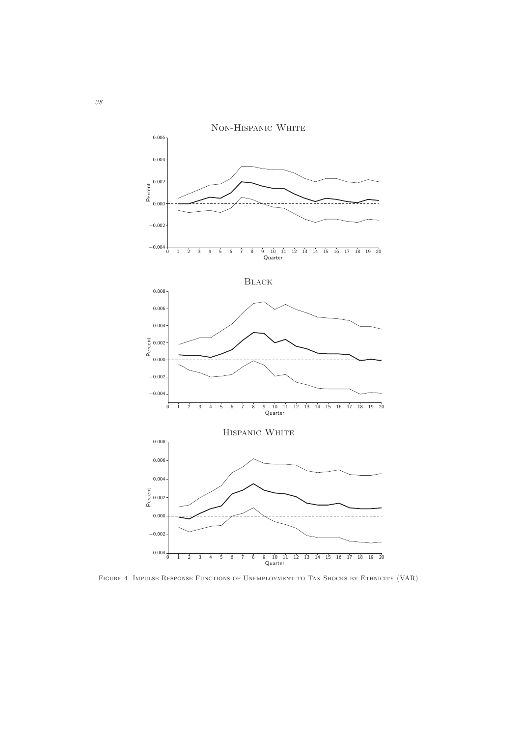

FIGURE 4. IMPULSE RESPONSE FUNCTIONS OF UNEMPLOYMENT TO TAX SHOCKS BY ETHNICITY (VAR)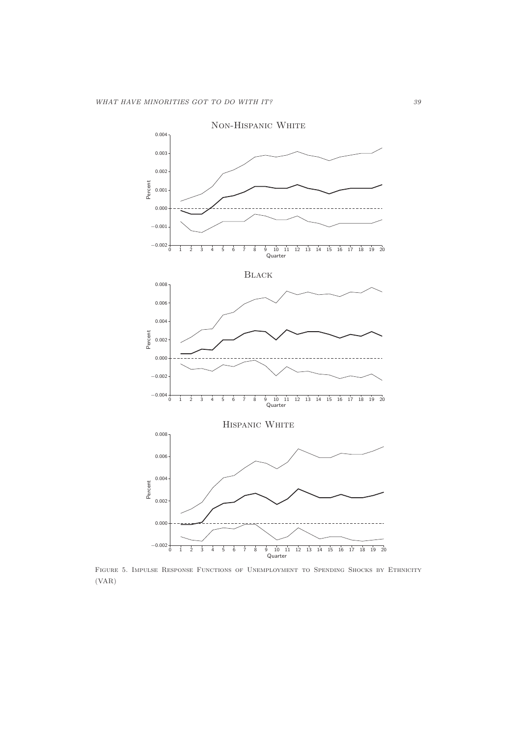

Figure 5. Impulse Response Functions of Unemployment to Spending Shocks by Ethnicity (VAR)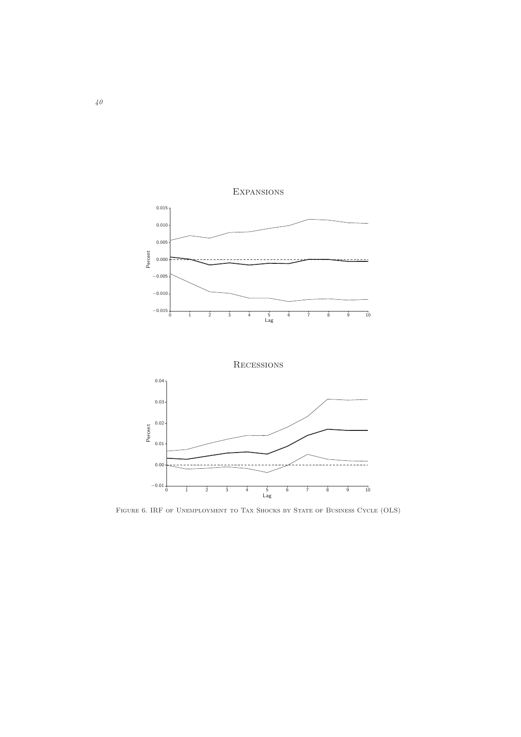

FIGURE 6. IRF OF UNEMPLOYMENT TO TAX SHOCKS BY STATE OF BUSINESS CYCLE (OLS)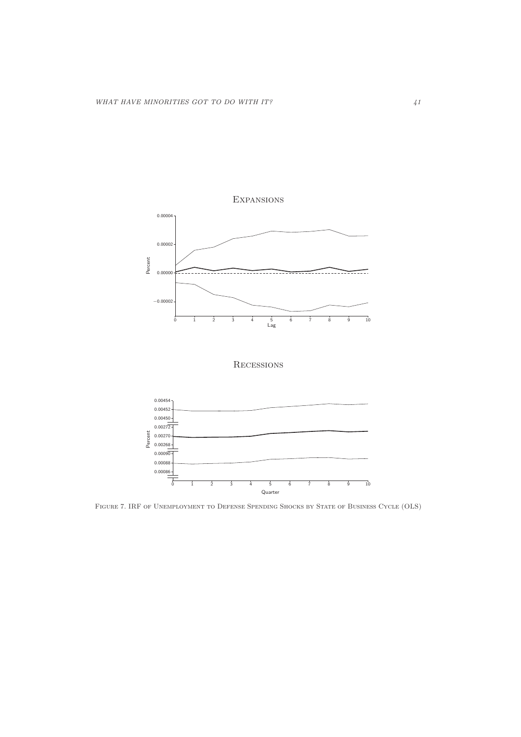





Figure 7. IRF of Unemployment to Defense Spending Shocks by State of Business Cycle (OLS)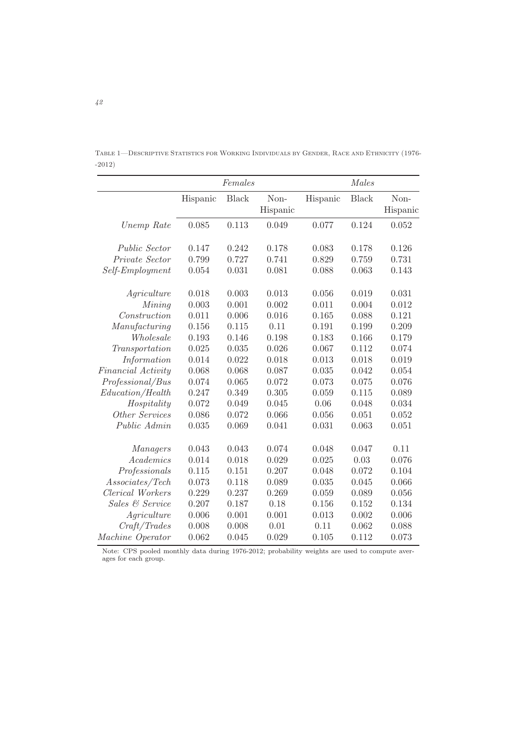|         | TABLE 1—DESCRIPTIVE STATISTICS FOR WORKING INDIVIDUALS BY GENDER, RACE AND ETHNICITY (1976- |  |  |
|---------|---------------------------------------------------------------------------------------------|--|--|
| $-2012$ |                                                                                             |  |  |

|                      | Females  |              |                  | Males    |              |                  |  |
|----------------------|----------|--------------|------------------|----------|--------------|------------------|--|
|                      | Hispanic | <b>Black</b> | Non-<br>Hispanic | Hispanic | <b>Black</b> | Non-<br>Hispanic |  |
| Unemp Rate           | 0.085    | 0.113        | 0.049            | 0.077    | 0.124        | 0.052            |  |
| <i>Public Sector</i> | 0.147    | 0.242        | 0.178            | 0.083    | 0.178        | 0.126            |  |
| Private Sector       | 0.799    | 0.727        | 0.741            | 0.829    | 0.759        | 0.731            |  |
| Self-Employment      | 0.054    | 0.031        | 0.081            | 0.088    | 0.063        | 0.143            |  |
| Agriculture          | 0.018    | 0.003        | 0.013            | 0.056    | 0.019        | 0.031            |  |
| Mining               | 0.003    | 0.001        | 0.002            | 0.011    | 0.004        | 0.012            |  |
| Construction         | 0.011    | 0.006        | 0.016            | 0.165    | 0.088        | 0.121            |  |
| Manufacturing        | 0.156    | 0.115        | 0.11             | 0.191    | 0.199        | 0.209            |  |
| Wholesale            | 0.193    | 0.146        | 0.198            | 0.183    | 0.166        | 0.179            |  |
| Transportation       | 0.025    | 0.035        | 0.026            | 0.067    | 0.112        | 0.074            |  |
| Information          | 0.014    | 0.022        | 0.018            | 0.013    | 0.018        | 0.019            |  |
| Financial Activity   | 0.068    | 0.068        | 0.087            | 0.035    | 0.042        | 0.054            |  |
| Professional/Bus     | 0.074    | 0.065        | 0.072            | 0.073    | 0.075        | 0.076            |  |
| Education/Health     | 0.247    | 0.349        | 0.305            | 0.059    | 0.115        | 0.089            |  |
| Hospitality          | 0.072    | 0.049        | 0.045            | 0.06     | 0.048        | 0.034            |  |
| Other Services       | 0.086    | 0.072        | 0.066            | 0.056    | 0.051        | 0.052            |  |
| Public Admin         | 0.035    | 0.069        | 0.041            | 0.031    | 0.063        | 0.051            |  |
| <i>Managers</i>      | 0.043    | 0.043        | 0.074            | 0.048    | 0.047        | 0.11             |  |
| Academics            | 0.014    | 0.018        | 0.029            | 0.025    | 0.03         | 0.076            |  |
| Professionals        | 0.115    | 0.151        | 0.207            | 0.048    | 0.072        | 0.104            |  |
| Associates/Tech      | 0.073    | 0.118        | 0.089            | 0.035    | 0.045        | 0.066            |  |
| Clerical Workers     | 0.229    | 0.237        | 0.269            | 0.059    | 0.089        | 0.056            |  |
| Sales & Service      | 0.207    | 0.187        | 0.18             | 0.156    | 0.152        | 0.134            |  |
| $A\,$                | 0.006    | 0.001        | 0.001            | 0.013    | 0.002        | 0.006            |  |
| Craft/Trades         | 0.008    | 0.008        | 0.01             | 0.11     | 0.062        | 0.088            |  |
| Machine Operator     | 0.062    | 0.045        | 0.029            | 0.105    | 0.112        | 0.073            |  |

Note: CPS pooled monthly data during 1976-2012; probability weights are used to compute averages for each group.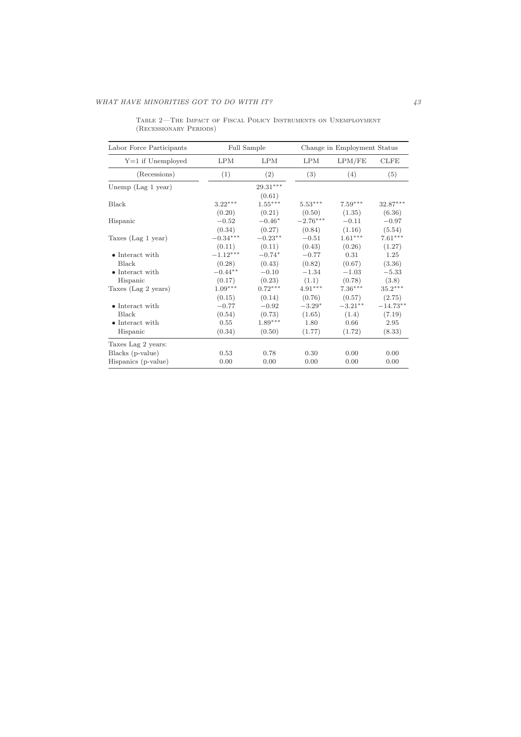| Labor Force Participants                                      | Full Sample                         |                                          | Change in Employment Status          |                                      |                                        |
|---------------------------------------------------------------|-------------------------------------|------------------------------------------|--------------------------------------|--------------------------------------|----------------------------------------|
| $Y=1$ if Unemployed                                           | <b>LPM</b>                          | LPM                                      | <b>LPM</b>                           | LPM/FE                               | CLFE                                   |
| (Recessions)                                                  | (1)                                 | (2)                                      | (3)                                  | (4)                                  | (5)                                    |
| Unemp $(Lag 1 year)$                                          |                                     | $29.31***$<br>(0.61)                     |                                      |                                      |                                        |
| Black                                                         | $3.22***$<br>(0.20)                 | $1.55***$<br>(0.21)                      | $5.53***$<br>(0.50)                  | $7.59***$<br>(1.35)                  | 32.87***<br>(6.36)                     |
| Hispanic                                                      | $-0.52$<br>(0.34)                   | $-0.46*$<br>(0.27)                       | $-2.76^{\ast\ast\ast}$<br>(0.84)     | $-0.11$<br>(1.16)                    | $-0.97$<br>(5.54)                      |
| Taxes (Lag 1 year)                                            | $-0.34***$<br>(0.11)                | $-0.23**$<br>(0.11)                      | $-0.51$<br>(0.43)                    | $1.61***$<br>(0.26)                  | $7.61***$<br>(1.27)                    |
| • Interact with<br>Black<br>• Interact with                   | $-1.12***$<br>(0.28)<br>$-0.44**$   | $-0.74*$<br>(0.43)                       | $-0.77$<br>(0.82)<br>$-1.34$         | 0.31<br>(0.67)                       | 1.25<br>(3.36)                         |
| Hispanic<br>Taxes (Lag 2 years)                               | (0.17)<br>$1.09***$                 | $-0.10$<br>(0.23)<br>$0.72***$           | (1.1)<br>$4.91***$                   | $-1.03$<br>(0.78)<br>$7.36***$       | $-5.33$<br>(3.8)<br>$35.2***$          |
| $\bullet$ Interact with<br>Black<br>$\bullet$ Interact with   | (0.15)<br>$-0.77$<br>(0.54)<br>0.55 | (0.14)<br>$-0.92$<br>(0.73)<br>$1.89***$ | (0.76)<br>$-3.29*$<br>(1.65)<br>1.80 | (0.57)<br>$-3.21**$<br>(1.4)<br>0.66 | (2.75)<br>$-14.73**$<br>(7.19)<br>2.95 |
| Hispanic                                                      | (0.34)                              | (0.50)                                   | (1.77)                               | (1.72)                               | (8.33)                                 |
| Taxes Lag 2 years:<br>Blacks (p-value)<br>Hispanics (p-value) | 0.53<br>0.00                        | 0.78<br>0.00                             | 0.30<br>0.00                         | 0.00<br>0.00                         | 0.00<br>0.00                           |

Table 2—The Impact of Fiscal Policy Instruments on Unemployment (Recessionary Periods)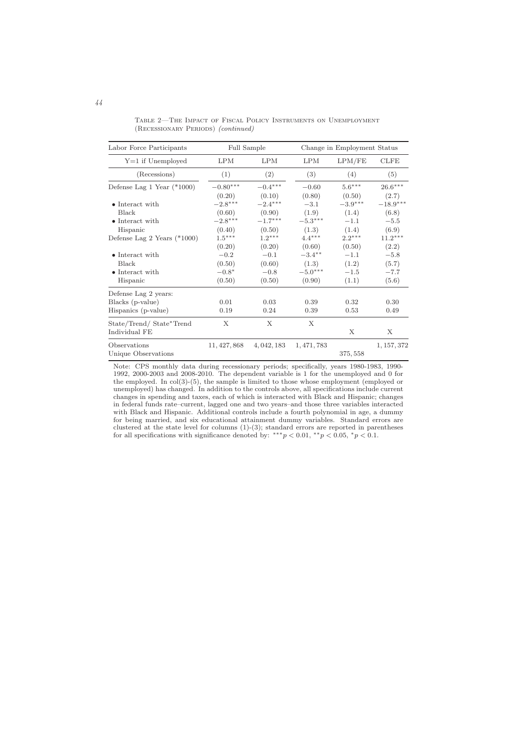Table 2—The Impact of Fiscal Policy Instruments on Unemployment (Recessionary Periods) (continued)

| Labor Force Participants                                               | Full Sample                           |                                      | Change in Employment Status               |                                    |                                    |
|------------------------------------------------------------------------|---------------------------------------|--------------------------------------|-------------------------------------------|------------------------------------|------------------------------------|
| $Y=1$ if Unemployed                                                    | <b>LPM</b>                            | <b>LPM</b>                           | <b>LPM</b>                                | LPM/FE                             | <b>CLFE</b>                        |
| (Recessions)                                                           | (1)                                   | (2)                                  | (3)                                       | (4)                                | (5)                                |
| Defense Lag 1 Year $(*1000)$                                           | $-0.80***$<br>(0.20)                  | $-0.4***$<br>(0.10)                  | $-0.60$<br>(0.80)                         | $5.6***$<br>(0.50)                 | $26.6***$<br>(2.7)                 |
| $\bullet$ Interact with<br><b>Black</b><br>$\bullet$ Interact with     | $-2.8***$<br>(0.60)<br>$-2.8***$      | $-2.4***$<br>(0.90)<br>$-1.7***$     | $-3.1$<br>(1.9)<br>$-5.3***$              | $-3.9***$<br>(1.4)<br>$-1.1$       | $-18.9***$<br>(6.8)<br>$-5.5$      |
| Hispanic<br>Defense Lag 2 Years $(*1000)$                              | (0.40)<br>$1.5***$<br>(0.20)          | (0.50)<br>$1.2***$<br>(0.20)         | (1.3)<br>$4.4***$<br>(0.60)               | (1.4)<br>$2.2***$<br>(0.50)        | (6.9)<br>$11.2***$<br>(2.2)        |
| • Interact with<br><b>Black</b><br>$\bullet$ Interact with<br>Hispanic | $-0.2$<br>(0.50)<br>$-0.8*$<br>(0.50) | $-0.1$<br>(0.60)<br>$-0.8$<br>(0.50) | $-3.4***$<br>(1.3)<br>$-5.0***$<br>(0.90) | $-1.1$<br>(1.2)<br>$-1.5$<br>(1.1) | $-5.8$<br>(5.7)<br>$-7.7$<br>(5.6) |
| Defense Lag 2 years:<br>Blacks (p-value)<br>Hispanics (p-value)        | 0.01<br>0.19                          | 0.03<br>0.24                         | 0.39<br>0.39                              | 0.32<br>0.53                       | 0.30<br>0.49                       |
| State/Trend/State*Trend<br>Individual FE                               | X                                     | Х                                    | X                                         | X                                  | X                                  |
| Observations<br>Unique Observations                                    | 11, 427, 868                          | 4, 042, 183                          | 1, 471, 783                               | 375, 558                           | 1, 157, 372                        |

Note: CPS monthly data during recessionary periods; specifically, years 1980-1983, 1990- 1992, 2000-2003 and 2008-2010. The dependent variable is 1 for the unemployed and 0 for the employed. In col(3)-(5), the sample is limited to those whose employment (employed or unemployed) has changed. In addition to the controls above, all specifications include current changes in spending and taxes, each of which is interacted with Black and Hispanic; changes in federal funds rate–current, lagged one and two years–and those three variables interacted with Black and Hispanic. Additional controls include a fourth polynomial in age, a dummy for being married, and six educational attainment dummy variables. Standard errors are clustered at the state level for columns  $(1)-(3)$ ; standard errors are reported in parentheses for all specifications with significance denoted by: \*\*\* $p < 0.01$ , \*\*p  $< 0.05$ , \*p  $< 0.1$ .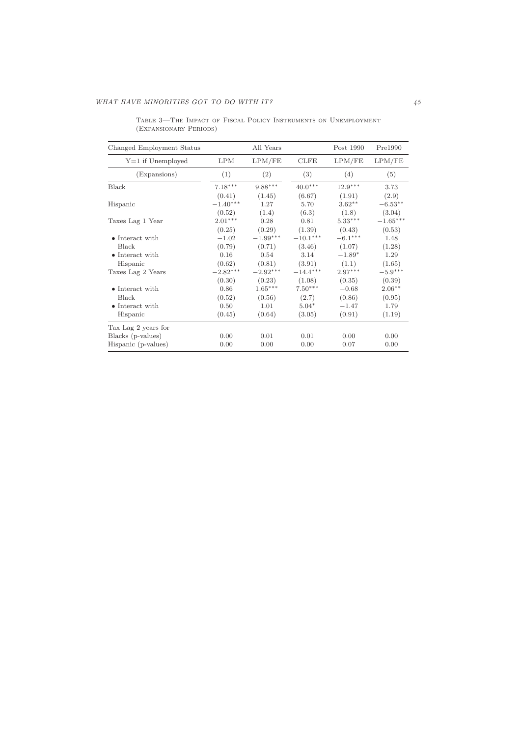| Changed Employment Status |            | All Years  |             | Post 1990 | Pre1990    |
|---------------------------|------------|------------|-------------|-----------|------------|
| $Y=1$ if Unemployed       | <b>LPM</b> | LPM/FE     | <b>CLFE</b> | LPM/FE    | LPM/FE     |
| (Expansions)              | (1)        | (2)        | (3)         | (4)       | (5)        |
| Black                     | $7.18***$  | $9.88***$  | $40.0***$   | $12.9***$ | 3.73       |
|                           | (0.41)     | (1.45)     | (6.67)      | (1.91)    | (2.9)      |
| Hispanic                  | $-1.40***$ | 1.27       | 5.70        | $3.62**$  | $-6.53**$  |
|                           | (0.52)     | (1.4)      | (6.3)       | (1.8)     | (3.04)     |
| Taxes Lag 1 Year          | $2.01***$  | 0.28       | 0.81        | $5.33***$ | $-1.65***$ |
|                           | (0.25)     | (0.29)     | (1.39)      | (0.43)    | (0.53)     |
| • Interact with           | $-1.02$    | $-1.99***$ | $-10.1***$  | $-6.1***$ | 1.48       |
| Black                     | (0.79)     | (0.71)     | (3.46)      | (1.07)    | (1.28)     |
| • Interact with           | 0.16       | 0.54       | 3.14        | $-1.89*$  | 1.29       |
| Hispanic                  | (0.62)     | (0.81)     | (3.91)      | (1.1)     | (1.65)     |
| Taxes Lag 2 Years         | $-2.82***$ | $-2.92***$ | $-14.4***$  | $2.97***$ | $-5.9***$  |
|                           | (0.30)     | (0.23)     | (1.08)      | (0.35)    | (0.39)     |
| • Interact with           | 0.86       | $1.65***$  | $7.50***$   | $-0.68$   | $2.06**$   |
| Black                     | (0.52)     | (0.56)     | (2.7)       | (0.86)    | (0.95)     |
| $\bullet$ Interact with   | 0.50       | 1.01       | $5.04*$     | $-1.47$   | 1.79       |
| Hispanic                  | (0.45)     | (0.64)     | (3.05)      | (0.91)    | (1.19)     |
| Tax Lag 2 years for       |            |            |             |           |            |
| Blacks (p-values)         | 0.00       | 0.01       | 0.01        | 0.00      | 0.00       |
| Hispanic (p-values)       | 0.00       | 0.00       | 0.00        | 0.07      | 0.00       |

Table 3—The Impact of Fiscal Policy Instruments on Unemployment (Expansionary Periods)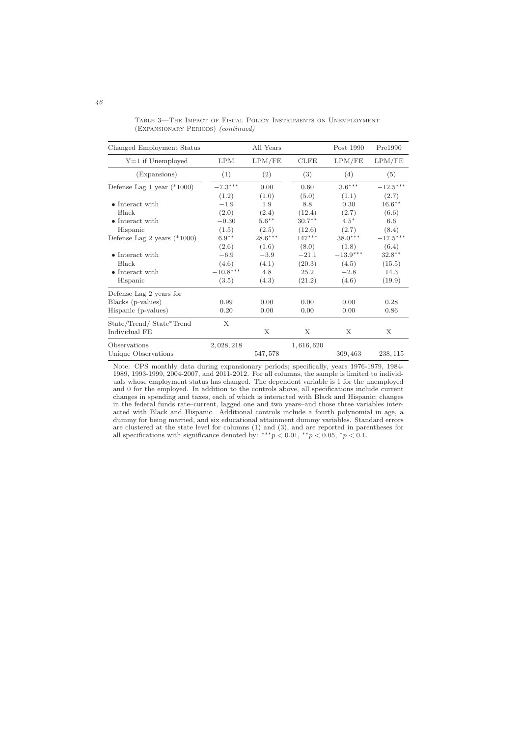Table 3—The Impact of Fiscal Policy Instruments on Unemployment (Expansionary Periods) (continued)

| Changed Employment Status                |                       | All Years          |                    | Post 1990           | Pre1990             |
|------------------------------------------|-----------------------|--------------------|--------------------|---------------------|---------------------|
| $Y=1$ if Unemployed                      | <b>LPM</b>            | LPM/FE             | <b>CLFE</b>        | LPM/FE              | LPM/FE              |
| (Expansions)                             | (1)                   | (2)                | (3)                | (4)                 | (5)                 |
| Defense Lag 1 year $(*1000)$             | $-7.3^{\ast\ast\ast}$ | 0.00               | 0.60               | $3.6***$            | $-12.5***$          |
| $\bullet$ Interact with                  | (1.2)<br>$-1.9$       | (1.0)<br>1.9       | (5.0)<br>8.8       | (1.1)<br>0.30       | (2.7)<br>$16.6***$  |
| Black<br>$\bullet$ Interact with         | (2.0)<br>$-0.30$      | (2.4)<br>$5.6***$  | (12.4)<br>$30.7**$ | (2.7)<br>$4.5*$     | (6.6)<br>6.6        |
| Hispanic                                 | (1.5)<br>$6.9**$      | (2.5)              | (12.6)             | (2.7)<br>$38.0***$  | (8.4)               |
| Defense Lag 2 years $(*1000)$            | (2.6)                 | $28.6***$<br>(1.6) | $147***$<br>(8.0)  | (1.8)               | $-17.5***$<br>(6.4) |
| • Interact with<br><b>Black</b>          | $-6.9$<br>(4.6)       | $-3.9$<br>(4.1)    | $-21.1$<br>(20.3)  | $-13.9***$<br>(4.5) | $32.8***$<br>(15.5) |
| $\bullet$ Interact with<br>Hispanic      | $-10.8***$<br>(3.5)   | 4.8<br>(4.3)       | 25.2<br>(21.2)     | $-2.8$<br>(4.6)     | 14.3<br>(19.9)      |
| Defense Lag 2 years for                  |                       |                    |                    |                     |                     |
| Blacks (p-values)<br>Hispanic (p-values) | 0.99<br>0.20          | 0.00<br>0.00       | 0.00<br>0.00       | 0.00<br>0.00        | 0.28<br>0.86        |
| State/Trend/State*Trend<br>Individual FE | X                     | X                  | X                  | X                   | Χ                   |
| Observations<br>Unique Observations      | 2,028,218             | 547, 578           | 1,616,620          | 309, 463            | 238, 115            |

Note: CPS monthly data during expansionary periods; specifically, years 1976-1979, 1984- 1989, 1993-1999, 2004-2007, and 2011-2012. For all columns, the sample is limited to individuals whose employment status has changed. The dependent variable is 1 for the unemployed and 0 for the employed. In addition to the controls above, all specifications include current changes in spending and taxes, each of which is interacted with Black and Hispanic; changes in the federal funds rate–current, lagged one and two years–and those three variables interacted with Black and Hispanic. Additional controls include a fourth polynomial in age, a dummy for being married, and six educational attainment dummy variables. Standard errors are clustered at the state level for columns (1) and (3), and are reported in parentheses for all specifications with significance denoted by: \*\*\* $p < 0.01$ , \*\*p  $< 0.05$ , \*p  $< 0.1$ .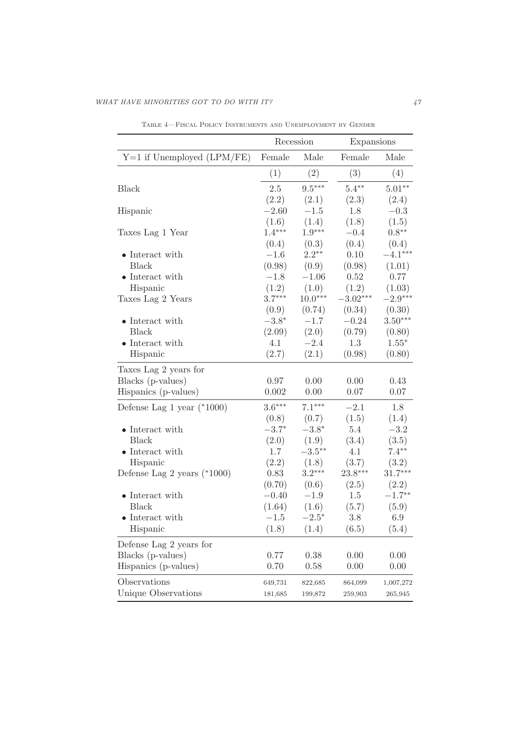|                               | Recession         |                   | Expansions |           |  |
|-------------------------------|-------------------|-------------------|------------|-----------|--|
| $Y=1$ if Unemployed (LPM/FE)  | Female            | Male              | Female     | Male      |  |
|                               | (1)               | (2)               | (3)        | (4)       |  |
|                               |                   |                   |            |           |  |
| <b>Black</b>                  | 2.5               | $9.5***$          | $5.4**$    | $5.01**$  |  |
|                               | (2.2)             | (2.1)             | (2.3)      | (2.4)     |  |
| Hispanic                      | $-2.60$           | $-1.5$            | 1.8        | $-0.3$    |  |
|                               | (1.6)<br>$1.4***$ | (1.4)<br>$1.9***$ | (1.8)      | (1.5)     |  |
| Taxes Lag 1 Year              |                   |                   | $-0.4$     | $0.8**$   |  |
|                               | (0.4)             | (0.3)             | (0.4)      | (0.4)     |  |
| $\bullet$ Interact with       | $-1.6$            | $2.2***$          | 0.10       | $-4.1***$ |  |
| <b>Black</b>                  | (0.98)            | (0.9)             | (0.98)     | (1.01)    |  |
| $\bullet$ Interact with       | $-1.8$            | $-1.06$           | 0.52       | 0.77      |  |
| Hispanic                      | (1.2)             | (1.0)             | (1.2)      | (1.03)    |  |
| Taxes Lag 2 Years             | $3.7***$          | $10.0***$         | $-3.02***$ | $-2.9***$ |  |
|                               | (0.9)             | (0.74)            | (0.34)     | (0.30)    |  |
| $\bullet$ Interact with       | $-3.8*$           | $-1.7$            | $-0.24$    | $3.50***$ |  |
| <b>Black</b>                  | (2.09)            | (2.0)             | (0.79)     | (0.80)    |  |
| $\bullet$ Interact with       | 4.1               | $-2.4$            | 1.3        | $1.55*$   |  |
| Hispanic                      | (2.7)             | (2.1)             | (0.98)     | (0.80)    |  |
| Taxes Lag 2 years for         |                   |                   |            |           |  |
| Blacks (p-values)             | 0.97              | 0.00              | 0.00       | 0.43      |  |
| Hispanics (p-values)          | 0.002             | 0.00              | 0.07       | 0.07      |  |
| Defense Lag 1 year $(*1000)$  | $3.6***$          | $7.1***$          | $-2.1$     | 1.8       |  |
|                               | (0.8)             | (0.7)             | (1.5)      | (1.4)     |  |
| $\bullet$ Interact with       | $-3.7*$           | $-3.8*$           | $5.4\,$    | $-3.2$    |  |
| <b>Black</b>                  | (2.0)             | (1.9)             | (3.4)      | (3.5)     |  |
| $\bullet$ Interact with       | 1.7               | $-3.5***$         | 4.1        | $7.4**$   |  |
| Hispanic                      | (2.2)             | (1.8)             | (3.7)      | (3.2)     |  |
| Defense Lag 2 years $(*1000)$ | 0.83              | $3.2***$          | 23.8***    | $31.7***$ |  |
|                               | (0.70)            | (0.6)             | (2.5)      | (2.2)     |  |
| $\bullet$ Interact with       | $-0.40$           | $-1.9$            | $1.5\,$    | $-1.7**$  |  |
| <b>Black</b>                  | (1.64)            | (1.6)             | (5.7)      | (5.9)     |  |
| $\bullet$ Interact with       | $-1.5$            | $-2.5^*$          | $3.8\,$    | 6.9       |  |
| Hispanic                      | (1.8)             | (1.4)             | (6.5)      | (5.4)     |  |
| Defense Lag 2 years for       |                   |                   |            |           |  |
| Blacks (p-values)             | 0.77              | 0.38              | 0.00       | 0.00      |  |
| Hispanics (p-values)          | 0.70              | 0.58              | 0.00       | 0.00      |  |
| Observations                  | 649,731           | 822,685           | 864,099    | 1,007,272 |  |
| Unique Observations           | 181,685           | 199,872           | 259,903    | 265,945   |  |

Table 4—Fiscal Policy Instruments and Unemployment by Gender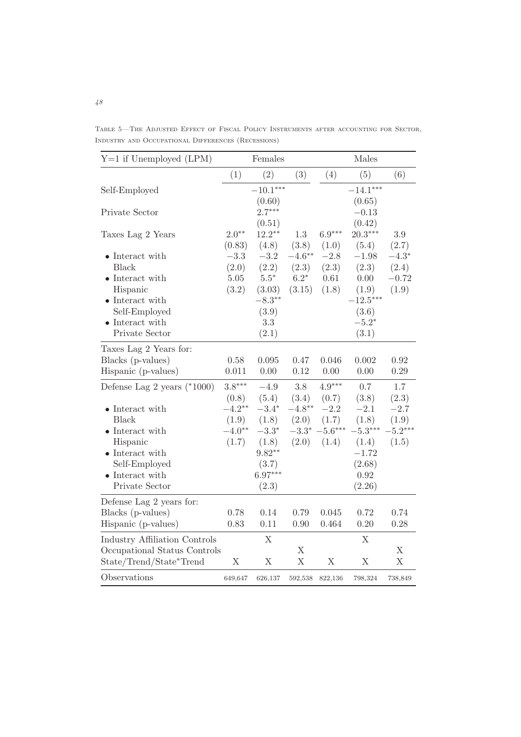Table 5—The Adjusted Effect of Fiscal Policy Instruments after accounting for Sector, Industry and Occupational Differences (Recessions)

| $Y=1$ if Unemployed (LPM)                                                                                                                                               |                                        | Females                                                                           |                                        |                                       | Males                                                                                 |                                               |
|-------------------------------------------------------------------------------------------------------------------------------------------------------------------------|----------------------------------------|-----------------------------------------------------------------------------------|----------------------------------------|---------------------------------------|---------------------------------------------------------------------------------------|-----------------------------------------------|
|                                                                                                                                                                         | (1)                                    | (2)                                                                               | (3)                                    | (4)                                   | (5)                                                                                   | (6)                                           |
| Self-Employed                                                                                                                                                           |                                        | $-10.1***$<br>(0.60)                                                              |                                        |                                       | $-14.1***$<br>(0.65)                                                                  |                                               |
| Private Sector                                                                                                                                                          |                                        | $2.7***$<br>(0.51)                                                                |                                        |                                       | $-0.13$<br>(0.42)                                                                     |                                               |
| Taxes Lag 2 Years                                                                                                                                                       | $2.0**$<br>(0.83)                      | $12.2***$                                                                         | 1.3<br>(3.8)                           | $6.9***$<br>(1.0)                     | $20.3***$                                                                             | 3.9                                           |
| • Interact with<br><b>Black</b><br>$\bullet$ Interact with<br>Hispanic<br>$\bullet$ Interact with<br>Self-Employed<br>$\bullet$ Interact with<br>Private Sector         | $-3.3$<br>(2.0)<br>$5.05\,$<br>(3.2)   | (4.8)<br>$-3.2$<br>(2.2)<br>$5.5*$<br>(3.03)<br>$-8.3**$<br>(3.9)<br>3.3<br>(2.1) | $-4.6***$<br>(2.3)<br>$6.2*$<br>(3.15) | $-2.8$<br>(2.3)<br>0.61<br>(1.8)      | (5.4)<br>$-1.98$<br>(2.3)<br>0.00<br>(1.9)<br>$-12.5***$<br>(3.6)<br>$-5.2*$<br>(3.1) | (2.7)<br>$-4.3*$<br>(2.4)<br>$-0.72$<br>(1.9) |
| Taxes Lag 2 Years for:                                                                                                                                                  |                                        |                                                                                   |                                        |                                       |                                                                                       |                                               |
| Blacks (p-values)<br>Hispanic (p-values)                                                                                                                                | 0.58<br>0.011                          | 0.095<br>0.00                                                                     | 0.47<br>0.12                           | 0.046<br>0.00                         | 0.002<br>0.00                                                                         | 0.92<br>0.29                                  |
| Defense Lag 2 years $(*1000)$                                                                                                                                           | $3.8***$<br>(0.8)                      | $-4.9$<br>(5.4)                                                                   | 3.8<br>(3.4)                           | $4.9***$<br>(0.7)                     | 0.7<br>(3.8)                                                                          | 1.7<br>(2.3)                                  |
| $\bullet$ Interact with<br><b>Black</b><br>$\bullet$ Interact with<br>Hispanic<br>$\bullet$ Interact with<br>Self-Employed<br>$\bullet$ Interact with<br>Private Sector | $-4.2**$<br>(1.9)<br>$-4.0**$<br>(1.7) | $-3.4*$<br>(1.8)<br>$-3.3*$<br>(1.8)<br>$9.82**$<br>(3.7)<br>$6.97***$<br>(2.3)   | $-4.8***$<br>(2.0)<br>$-3.3*$<br>(2.0) | $-2.2$<br>(1.7)<br>$-5.6***$<br>(1.4) | $-2.1$<br>(1.8)<br>$-5.3***$<br>(1.4)<br>$-1.72$<br>(2.68)<br>0.92<br>(2.26)          | $-2.7$<br>(1.9)<br>$-5.2***$<br>(1.5)         |
| Defense Lag 2 years for:<br>Blacks (p-values)<br>Hispanic (p-values)                                                                                                    | 0.78<br>0.83                           | 0.14<br>0.11                                                                      | 0.79<br>0.90                           | 0.045<br>0.464                        | 0.72<br>0.20                                                                          | 0.74<br>0.28                                  |
| <b>Industry Affiliation Controls</b><br>Occupational Status Controls<br>State/Trend/State*Trend                                                                         | X                                      | X<br>$\mathbf X$                                                                  | $\mathbf X$<br>$\mathbf X$             | $\mathbf X$                           | X<br>X                                                                                | $\mathbf X$<br>X                              |
| Observations                                                                                                                                                            | 649,647                                | 626,137                                                                           | 592,538                                | 822,136                               | 798,324                                                                               | 738,849                                       |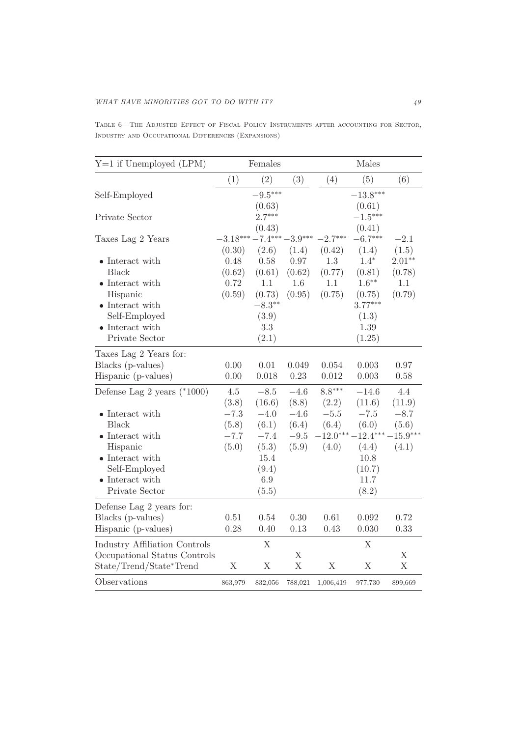Table 6—The Adjusted Effect of Fiscal Policy Instruments after accounting for Sector, Industry and Occupational Differences (Expansions)

| $Y=1$ if Unemployed (LPM)                                                                                                                                               |                                    | Females                                                              |                                    |                                | Males                                                                             |                                        |
|-------------------------------------------------------------------------------------------------------------------------------------------------------------------------|------------------------------------|----------------------------------------------------------------------|------------------------------------|--------------------------------|-----------------------------------------------------------------------------------|----------------------------------------|
|                                                                                                                                                                         | (1)                                | (2)                                                                  | (3)                                | (4)                            | (5)                                                                               | (6)                                    |
| Self-Employed                                                                                                                                                           |                                    | $-9.5***$<br>(0.63)                                                  |                                    |                                | $-13.8***$<br>(0.61)                                                              |                                        |
| Private Sector                                                                                                                                                          |                                    | $2.7***$<br>(0.43)                                                   |                                    |                                | $-1.5***$<br>(0.41)                                                               |                                        |
| Taxes Lag 2 Years                                                                                                                                                       | $-3.18***-7.4***-3.9***$<br>(0.30) | (2.6)                                                                | (1.4)                              | $-2.7***$<br>(0.42)            | $-6.7***$<br>(1.4)                                                                | $-2.1$<br>(1.5)                        |
| $\bullet$ Interact with<br><b>Black</b><br>$\bullet$ Interact with<br>Hispanic<br>$\bullet$ Interact with<br>Self-Employed<br>$\bullet$ Interact with<br>Private Sector | 0.48<br>(0.62)<br>0.72<br>(0.59)   | 0.58<br>(0.61)<br>1.1<br>(0.73)<br>$-8.3**$<br>(3.9)<br>3.3<br>(2.1) | 0.97<br>(0.62)<br>1.6<br>(0.95)    | 1.3<br>(0.77)<br>1.1<br>(0.75) | $1.4*$<br>(0.81)<br>$1.6***$<br>(0.75)<br>$3.77***$<br>(1.3)<br>1.39<br>(1.25)    | $2.01**$<br>(0.78)<br>1.1<br>(0.79)    |
| Taxes Lag 2 Years for:<br>Blacks (p-values)<br>Hispanic (p-values)                                                                                                      | 0.00<br>0.00                       | 0.01<br>0.018                                                        | 0.049<br>0.23                      | 0.054<br>0.012                 | 0.003<br>0.003                                                                    | 0.97<br>0.58                           |
| Defense Lag 2 years $(*1000)$                                                                                                                                           | $4.5\,$<br>(3.8)                   | $-8.5$<br>(16.6)                                                     | $-4.6$<br>(8.8)                    | $8.8***$<br>(2.2)              | $-14.6$<br>(11.6)                                                                 | 4.4<br>(11.9)                          |
| $\bullet$ Interact with<br><b>Black</b><br>• Interact with<br>Hispanic<br>$\bullet$ Interact with<br>Self-Employed<br>$\bullet$ Interact with<br>Private Sector         | $-7.3$<br>(5.8)<br>$-7.7$<br>(5.0) | $-4.0$<br>(6.1)<br>$-7.4$<br>(5.3)<br>15.4<br>(9.4)<br>6.9<br>(5.5)  | $-4.6$<br>(6.4)<br>$-9.5$<br>(5.9) | $-5.5\,$<br>(6.4)<br>(4.0)     | $-7.5$<br>(6.0)<br>$-12.0***-12.4***$<br>(4.4)<br>10.8<br>(10.7)<br>11.7<br>(8.2) | $-8.7$<br>(5.6)<br>$-15.9***$<br>(4.1) |
| Defense Lag 2 years for:<br>Blacks (p-values)<br>Hispanic (p-values)                                                                                                    | 0.51<br>0.28                       | 0.54<br>0.40                                                         | 0.30<br>0.13                       | 0.61<br>0.43                   | 0.092<br>0.030                                                                    | 0.72<br>0.33                           |
| <b>Industry Affiliation Controls</b><br>Occupational Status Controls<br>State/Trend/State*Trend                                                                         | X                                  | $\mathbf X$<br>$\mathbf X$                                           | $\mathbf X$<br>$\mathbf X$         | X                              | $\mathbf X$<br>$\mathbf X$                                                        | $\mathbf X$<br>$\mathbf X$             |
| Observations                                                                                                                                                            | 863,979                            | 832,056                                                              | 788,021                            | 1,006,419                      | 977,730                                                                           | 899,669                                |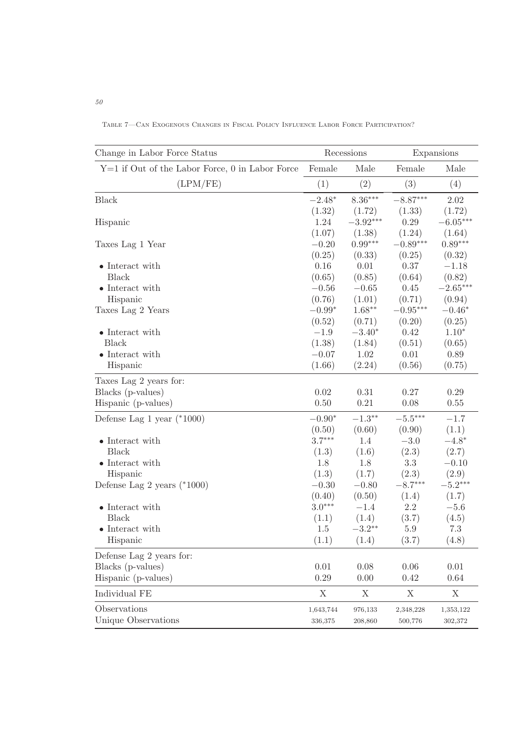| Change in Labor Force Status                      |           | Recessions |             | Expansions |
|---------------------------------------------------|-----------|------------|-------------|------------|
| $Y=1$ if Out of the Labor Force, 0 in Labor Force | Female    | Male       | Female      | Male       |
| (LPM/FE)                                          | (1)       | (2)        | (3)         | (4)        |
| <b>Black</b>                                      | $-2.48*$  | $8.36***$  | $-8.87***$  | 2.02       |
|                                                   | (1.32)    | (1.72)     | (1.33)      | (1.72)     |
| Hispanic                                          | 1.24      | $-3.92***$ | 0.29        | $-6.05***$ |
|                                                   | (1.07)    | (1.38)     | (1.24)      | (1.64)     |
| Taxes Lag 1 Year                                  | $-0.20$   | $0.99***$  | $-0.89***$  | $0.89***$  |
|                                                   | (0.25)    | (0.33)     | (0.25)      | (0.32)     |
| $\bullet$ Interact with                           | 0.16      | 0.01       | 0.37        | $-1.18$    |
| <b>Black</b>                                      | (0.65)    | (0.85)     | (0.64)      | (0.82)     |
| $\bullet$ Interact with                           | $-0.56$   | $-0.65$    | 0.45        | $-2.65***$ |
| Hispanic                                          | (0.76)    | (1.01)     | (0.71)      | (0.94)     |
| Taxes Lag 2 Years                                 | $-0.99*$  | $1.68***$  | $-0.95***$  | $-0.46*$   |
|                                                   | (0.52)    | (0.71)     | (0.20)      | (0.25)     |
| $\bullet$ Interact with                           | $-1.9$    | $-3.40*$   | 0.42        | $1.10*$    |
| <b>Black</b>                                      | (1.38)    | (1.84)     | (0.51)      | (0.65)     |
| $\bullet$ Interact with                           | $-0.07$   | 1.02       | 0.01        | 0.89       |
| Hispanic                                          | (1.66)    | (2.24)     | (0.56)      | (0.75)     |
| Taxes Lag 2 years for:                            |           |            |             |            |
| Blacks (p-values)                                 | 0.02      | 0.31       | 0.27        | 0.29       |
| Hispanic (p-values)                               | 0.50      | 0.21       | 0.08        | 0.55       |
| Defense Lag 1 year $(*1000)$                      | $-0.90*$  | $-1.3***$  | $-5.5***$   | $-1.7$     |
|                                                   | (0.50)    | (0.60)     | (0.90)      | (1.1)      |
| $\bullet$ Interact with                           | $3.7***$  | 1.4        | $-3.0$      | $-4.8*$    |
| <b>Black</b>                                      | (1.3)     | (1.6)      | (2.3)       | (2.7)      |
| $\bullet$ Interact with                           | 1.8       | 1.8        | 3.3         | $-0.10$    |
| Hispanic                                          | (1.3)     | (1.7)      | (2.3)       | (2.9)      |
| Defense Lag 2 years $(*1000)$                     | $-0.30$   | $-0.80$    | $-8.7***$   | $-5.2***$  |
|                                                   | (0.40)    | (0.50)     | (1.4)       | (1.7)      |
| $\bullet$ Interact with                           | $3.0***$  | $-1.4$     | $2.2\,$     | $-5.6$     |
| <b>Black</b>                                      | (1.1)     | (1.4)      | (3.7)       | (4.5)      |
| $\bullet$ Interact with                           | 1.5       | $-3.2**$   | 5.9         | $7.3\,$    |
| Hispanic                                          | (1.1)     | (1.4)      | (3.7)       | (4.8)      |
| Defense Lag 2 years for:                          |           |            |             |            |
| Blacks (p-values)                                 | 0.01      | 0.08       | 0.06        | 0.01       |
| Hispanic (p-values)                               | 0.29      | 0.00       | 0.42        | 0.64       |
| Individual FE                                     | X         | X          | $\mathbf X$ | X          |
| Observations                                      | 1,643,744 | 976,133    | 2,348,228   | 1,353,122  |
| Unique Observations                               | 336,375   | 208,860    | 500,776     | 302,372    |

Table 7—Can Exogenous Changes in Fiscal Policy Influence Labor Force Participation?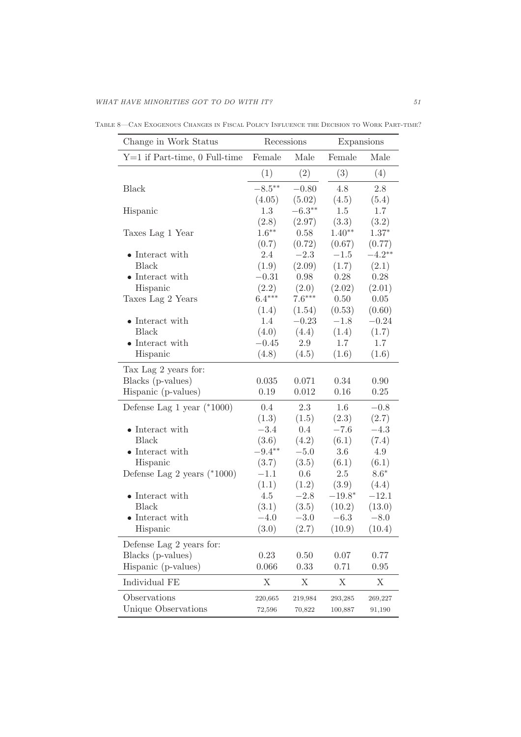| Change in Work Status           |           | Recessions<br>Expansions |          |            |
|---------------------------------|-----------|--------------------------|----------|------------|
| $Y=1$ if Part-time, 0 Full-time | Female    | Male                     | Female   | Male       |
|                                 | (1)       | (2)                      | (3)      | (4)        |
| <b>Black</b>                    | $-8.5***$ | $-0.80$                  | 4.8      | 2.8        |
|                                 | (4.05)    | (5.02)                   | (4.5)    | (5.4)      |
| Hispanic                        | 1.3       | $-6.3***$                | $1.5\,$  | 1.7        |
|                                 | (2.8)     | (2.97)                   | (3.3)    | (3.2)      |
| Taxes Lag 1 Year                | $1.6***$  | 0.58                     | $1.40**$ | $1.37*$    |
|                                 | (0.7)     | (0.72)                   | (0.67)   | (0.77)     |
| • Interact with                 | 2.4       | $-2.3$                   | $-1.5$   | $-4.2**$   |
| <b>Black</b>                    | (1.9)     | (2.09)                   | (1.7)    | (2.1)      |
| • Interact with                 | $-0.31$   | 0.98                     | 0.28     | 0.28       |
| Hispanic                        | (2.2)     | (2.0)                    | (2.02)   | (2.01)     |
| Taxes Lag 2 Years               | $6.4***$  | $7.6***$                 | 0.50     | $0.05\,$   |
|                                 | (1.4)     | (1.54)                   | (0.53)   | (0.60)     |
| $\bullet$ Interact with         | 1.4       | $-0.23$                  | $-1.8$   | $-0.24$    |
| <b>Black</b>                    | (4.0)     | (4.4)                    | (1.4)    | (1.7)      |
| $\bullet$ Interact with         | $-0.45$   | 2.9                      | 1.7      | 1.7        |
| Hispanic                        | (4.8)     | (4.5)                    | (1.6)    | (1.6)      |
| Tax Lag 2 years for:            |           |                          |          |            |
| Blacks (p-values)               | 0.035     | 0.071                    | 0.34     | 0.90       |
| Hispanic (p-values)             | 0.19      | 0.012                    | 0.16     | 0.25       |
| Defense Lag 1 year $(*1000)$    | 0.4       | 2.3                      | 1.6      | $-0.8$     |
|                                 | (1.3)     | (1.5)                    | (2.3)    | (2.7)      |
| $\bullet$ Interact with         | $-3.4$    | 0.4                      | $-7.6$   | $-4.3$     |
| <b>Black</b>                    | (3.6)     | (4.2)                    | (6.1)    | (7.4)      |
| $\bullet$ Interact with         | $-9.4***$ | $-5.0$                   | 3.6      | 4.9        |
| Hispanic                        | (3.7)     | (3.5)                    | (6.1)    | (6.1)      |
| Defense Lag 2 years $(*1000)$   | $-1.1$    | 0.6                      | $2.5\,$  | $8.6^\ast$ |
|                                 | (1.1)     | (1.2)                    | (3.9)    | (4.4)      |
| $\bullet$ Interact with         | 4.5       | $-2.8$                   | $-19.8*$ | $-12.1$    |
| <b>Black</b>                    | (3.1)     | (3.5)                    | (10.2)   | (13.0)     |
| • Interact with                 | $-4.0$    | $-3.0$                   | $-6.3$   | $-8.0$     |
| Hispanic                        | (3.0)     | (2.7)                    | (10.9)   | (10.4)     |
| Defense Lag 2 years for:        |           |                          |          |            |
| Blacks (p-values)               | 0.23      | 0.50                     | 0.07     | 0.77       |
| Hispanic (p-values)             | 0.066     | 0.33                     | 0.71     | $0.95\,$   |
| Individual FE                   | X         | X                        | X        | X          |
| Observations                    | 220,665   | 219,984                  | 293,285  | 269,227    |
| Unique Observations             | 72,596    | 70,822                   | 100,887  | 91,190     |

Table 8—Can Exogenous Changes in Fiscal Policy Influence the Decision to Work Part-time?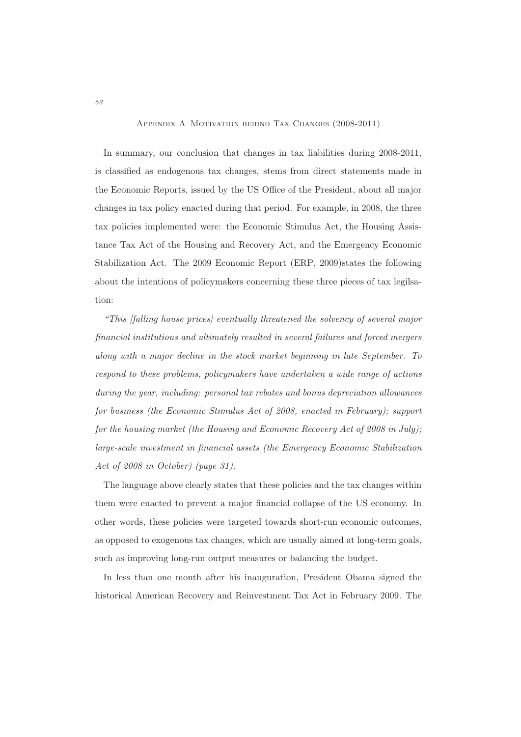#### Appendix A–Motivation behind Tax Changes (2008-2011)

In summary, our conclusion that changes in tax liabilities during 2008-2011, is classified as endogenous tax changes, stems from direct statements made in the Economic Reports, issued by the US Office of the President, about all major changes in tax policy enacted during that period. For example, in 2008, the three tax policies implemented were: the Economic Stimulus Act, the Housing Assistance Tax Act of the Housing and Recovery Act, and the Emergency Economic Stabilization Act. The 2009 Economic Report (ERP, 2009) states the following about the intentions of policymakers concerning these three pieces of tax legilsation:

"This [falling house prices] eventually threatened the solvency of several major financial institutions and ultimately resulted in several failures and forced mergers along with a major decline in the stock market beginning in late September. To respond to these problems, policymakers have undertaken a wide range of actions during the year, including: personal tax rebates and bonus depreciation allowances for business (the Economic Stimulus Act of 2008, enacted in February); support for the housing market (the Housing and Economic Recovery Act of 2008 in July); large-scale investment in financial assets (the Emergency Economic Stabilization Act of 2008 in October) (page 31).

The language above clearly states that these policies and the tax changes within them were enacted to prevent a major financial collapse of the US economy. In other words, these policies were targeted towards short-run economic outcomes, as opposed to exogenous tax changes, which are usually aimed at long-term goals, such as improving long-run output measures or balancing the budget.

In less than one month after his inauguration, President Obama signed the historical American Recovery and Reinvestment Tax Act in February 2009. The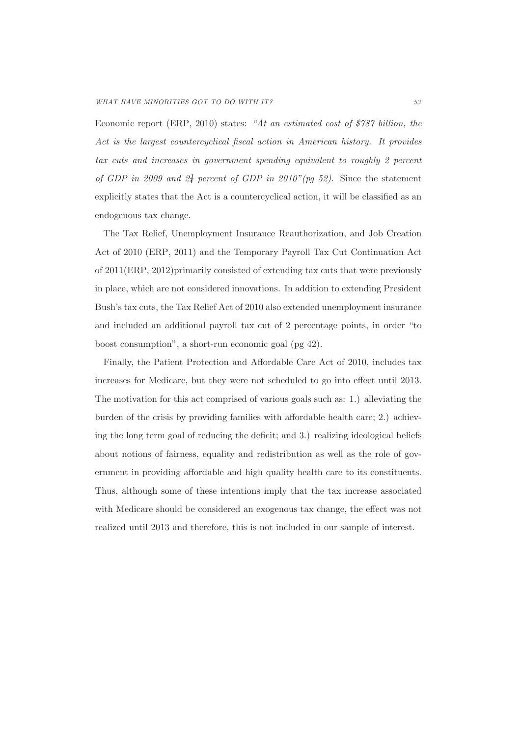Economic report (ERP, 2010) states: "At an estimated cost of \$787 billion, the Act is the largest countercyclical fiscal action in American history. It provides tax cuts and increases in government spending equivalent to roughly 2 percent of GDP in 2009 and  $2\frac{1}{4}$  percent of GDP in 2010"(pg 52). Since the statement explicitly states that the Act is a countercyclical action, it will be classified as an endogenous tax change.

The Tax Relief, Unemployment Insurance Reauthorization, and Job Creation Act of 2010 (ERP, 2011) and the Temporary Payroll Tax Cut Continuation Act of 2011(ERP, 2012)primarily consisted of extending tax cuts that were previously in place, which are not considered innovations. In addition to extending President Bush's tax cuts, the Tax Relief Act of 2010 also extended unemployment insurance and included an additional payroll tax cut of 2 percentage points, in order "to boost consumption", a short-run economic goal (pg 42).

Finally, the Patient Protection and Affordable Care Act of 2010, includes tax increases for Medicare, but they were not scheduled to go into effect until 2013. The motivation for this act comprised of various goals such as: 1.) alleviating the burden of the crisis by providing families with affordable health care; 2.) achieving the long term goal of reducing the deficit; and 3.) realizing ideological beliefs about notions of fairness, equality and redistribution as well as the role of government in providing affordable and high quality health care to its constituents. Thus, although some of these intentions imply that the tax increase associated with Medicare should be considered an exogenous tax change, the effect was not realized until 2013 and therefore, this is not included in our sample of interest.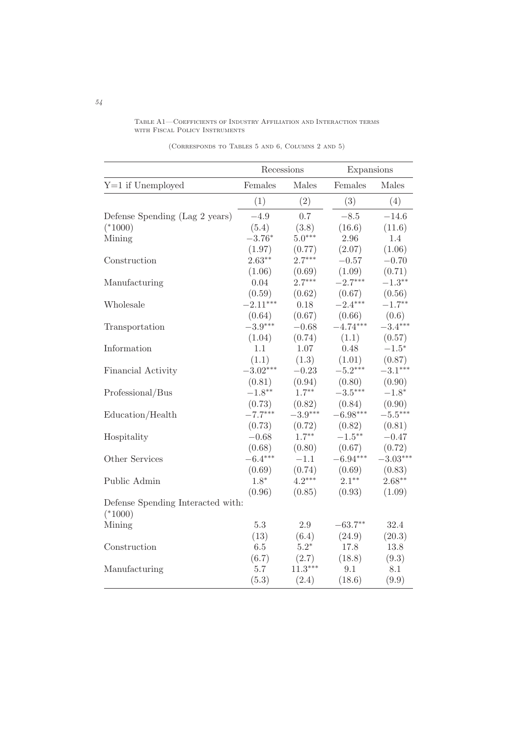Table A1—Coefficients of Industry Affiliation and Interaction terms with Fiscal Policy Instruments

|                                   | Recessions |           | Expansions |            |  |
|-----------------------------------|------------|-----------|------------|------------|--|
| $Y=1$ if Unemployed               | Females    | Males     | Females    | Males      |  |
|                                   | (1)        | (2)       | (3)        | (4)        |  |
| Defense Spending (Lag 2 years)    | $-4.9$     | 0.7       | $-8.5$     | $-14.6$    |  |
| $(*1000)$                         | (5.4)      | (3.8)     | (16.6)     | (11.6)     |  |
| Mining                            | $-3.76*$   | $5.0***$  | 2.96       | 1.4        |  |
|                                   | (1.97)     | (0.77)    | (2.07)     | (1.06)     |  |
| Construction                      | $2.63**$   | $2.7***$  | $-0.57$    | $-0.70$    |  |
|                                   | (1.06)     | (0.69)    | (1.09)     | (0.71)     |  |
| Manufacturing                     | 0.04       | $2.7***$  | $-2.7***$  | $-1.3***$  |  |
|                                   | (0.59)     | (0.62)    | (0.67)     | (0.56)     |  |
| Wholesale                         | $-2.11***$ | 0.18      | $-2.4***$  | $-1.7***$  |  |
|                                   | (0.64)     | (0.67)    | (0.66)     | (0.6)      |  |
| Transportation                    | $-3.9***$  | $-0.68$   | $-4.74***$ | $-3.4***$  |  |
|                                   | (1.04)     | (0.74)    | (1.1)      | (0.57)     |  |
| Information                       | 1.1        | 1.07      | 0.48       | $-1.5*$    |  |
|                                   | (1.1)      | (1.3)     | (1.01)     | (0.87)     |  |
| Financial Activity                | $-3.02***$ | $-0.23$   | $-5.2***$  | $-3.1***$  |  |
|                                   | (0.81)     | (0.94)    | (0.80)     | (0.90)     |  |
| Professional/Bus                  | $-1.8**$   | $1.7***$  | $-3.5***$  | $-1.8*$    |  |
|                                   | (0.73)     | (0.82)    | (0.84)     | (0.90)     |  |
| Education/Health                  | $-7.7***$  | $-3.9***$ | $-6.98***$ | $-5.5***$  |  |
|                                   | (0.73)     | (0.72)    | (0.82)     | (0.81)     |  |
| Hospitality                       | $-0.68$    | $1.7***$  | $-1.5***$  | $-0.47$    |  |
|                                   | (0.68)     | (0.80)    | (0.67)     | (0.72)     |  |
| Other Services                    | $-6.4***$  | $-1.1$    | $-6.94***$ | $-3.03***$ |  |
|                                   | (0.69)     | (0.74)    | (0.69)     | (0.83)     |  |
| Public Admin                      | $1.8*$     | $4.2***$  | $2.1***$   | $2.68**$   |  |
|                                   | (0.96)     | (0.85)    | (0.93)     | (1.09)     |  |
| Defense Spending Interacted with: |            |           |            |            |  |
| $(*1000)$                         |            |           |            |            |  |
| Mining                            | $5.3\,$    | 2.9       | $-63.7**$  | 32.4       |  |
|                                   | (13)       | (6.4)     | (24.9)     | (20.3)     |  |
| Construction                      | 6.5        | $5.2*$    | 17.8       | 13.8       |  |
|                                   | (6.7)      | (2.7)     | (18.8)     | (9.3)      |  |
| Manufacturing                     | 5.7        | $11.3***$ | 9.1        | 8.1        |  |
|                                   | (5.3)      | (2.4)     | (18.6)     | (9.9)      |  |

(Corresponds to Tables 5 and 6, Columns 2 and 5)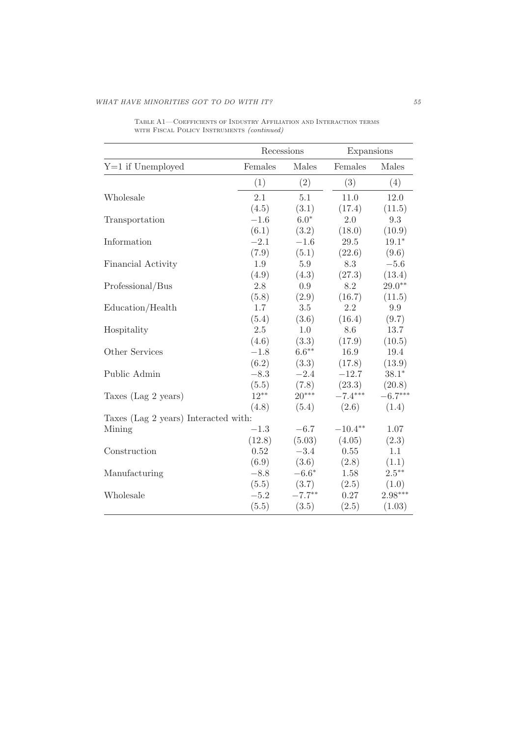|                                      | Recessions |           | Expansions |           |
|--------------------------------------|------------|-----------|------------|-----------|
| $Y=1$ if Unemployed                  | Females    | Males     | Females    | Males     |
|                                      | (1)        | (2)       | (3)        | (4)       |
| Wholesale                            | 2.1        | 5.1       | 11.0       | 12.0      |
|                                      | (4.5)      | (3.1)     | (17.4)     | (11.5)    |
| Transportation                       | $-1.6$     | $6.0*$    | 2.0        | 9.3       |
|                                      | (6.1)      | (3.2)     | (18.0)     | (10.9)    |
| Information                          | $-2.1$     | $-1.6$    | 29.5       | $19.1*$   |
|                                      | (7.9)      | (5.1)     | (22.6)     | (9.6)     |
| Financial Activity                   | 1.9        | 5.9       | 8.3        | $-5.6$    |
|                                      | (4.9)      | (4.3)     | (27.3)     | (13.4)    |
| Professional/Bus                     | 2.8        | 0.9       | 8.2        | $29.0**$  |
|                                      | (5.8)      | (2.9)     | (16.7)     | (11.5)    |
| Education/Health                     | 1.7        | 3.5       | $2.2\,$    | 9.9       |
|                                      | (5.4)      | (3.6)     | (16.4)     | (9.7)     |
| Hospitality                          | 2.5        | 1.0       | 8.6        | 13.7      |
|                                      | (4.6)      | (3.3)     | (17.9)     | (10.5)    |
| Other Services                       | $-1.8$     | $6.6***$  | 16.9       | 19.4      |
|                                      | (6.2)      | (3.3)     | (17.8)     | (13.9)    |
| Public Admin                         | $-8.3$     | $-2.4$    | $-12.7$    | $38.1*$   |
|                                      | (5.5)      | (7.8)     | (23.3)     | (20.8)    |
| Taxes (Lag 2 years)                  | $12***$    | $20***$   | $-7.4***$  | $-6.7***$ |
|                                      | (4.8)      | (5.4)     | (2.6)      | (1.4)     |
| Taxes (Lag 2 years) Interacted with: |            |           |            |           |
| Mining                               | $-1.3$     | $-6.7$    | $-10.4**$  | 1.07      |
|                                      | (12.8)     | (5.03)    | (4.05)     | (2.3)     |
| Construction                         | 0.52       | $-3.4$    | 0.55       | 1.1       |
|                                      | (6.9)      | (3.6)     | (2.8)      | (1.1)     |
| Manufacturing                        | $-8.8$     | $-6.6*$   | 1.58       | $2.5***$  |
|                                      | (5.5)      | (3.7)     | (2.5)      | (1.0)     |
| Wholesale                            | $-5.2$     | $-7.7***$ | 0.27       | $2.98***$ |
|                                      | (5.5)      | (3.5)     | (2.5)      | (1.03)    |

Table A1—Coefficients of Industry Affiliation and Interaction terms WITH FISCAL POLICY INSTRUMENTS (continued)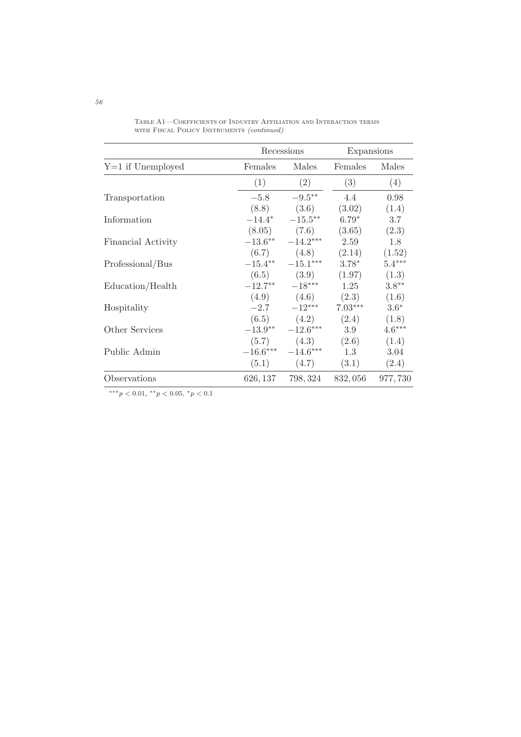|                     | Recessions |                            | Expansions |          |
|---------------------|------------|----------------------------|------------|----------|
| $Y=1$ if Unemployed | Females    | Males                      | Females    | Males    |
|                     | (1)        | (2)                        | (3)        | (4)      |
| Transportation      | $-5.8$     | $-9.5^{\ast\ast}$          | 4.4        | 0.98     |
|                     | (8.8)      | (3.6)                      | (3.02)     | (1.4)    |
| Information         | $-14.4*$   | $-15.5***$                 | $6.79*$    | 3.7      |
|                     |            | $(8.05)$ $(7.6)$           | (3.65)     | (2.3)    |
| Financial Activity  | $-13.6***$ | $-14.2***$                 | 2.59       | 1.8      |
|                     | (6.7)      | (4.8)                      | (2.14)     | (1.52)   |
| Professional/Bus    |            | $-15.4***$ $-15.1***$      | $3.78*$    | $5.4***$ |
|                     | (6.5)      | (3.9)                      | (1.97)     | (1.3)    |
| Education/Health    | $-12.7***$ | $-18***$                   | 1.25       | $3.8**$  |
|                     |            | $(4.9)$ $(4.6)$            | (2.3)      | (1.6)    |
| Hospitality         |            | $-2.7 -12***$              | $7.03***$  | $3.6*$   |
|                     |            | $(6.5)$ $(4.2)$            | (2.4)      | (1.8)    |
| Other Services      |            | $-13.9^{**}$ $-12.6^{***}$ | 3.9        | $4.6***$ |
|                     | (5.7)      | (4.3)                      | (2.6)      | (1.4)    |
| Public Admin        | $-16.6***$ | $-14.6***$                 | 1.3        | 3.04     |
|                     | (5.1)      | (4.7)                      | (3.1)      | (2.4)    |
| Observations        | 626, 137   | 798, 324                   | 832,056    | 977,730  |

Table A1—Coefficients of Industry Affiliation and Interaction terms WITH FISCAL POLICY INSTRUMENTS (continued)

∗∗∗p < 0.01, ∗∗p < 0.05, ∗p < 0.1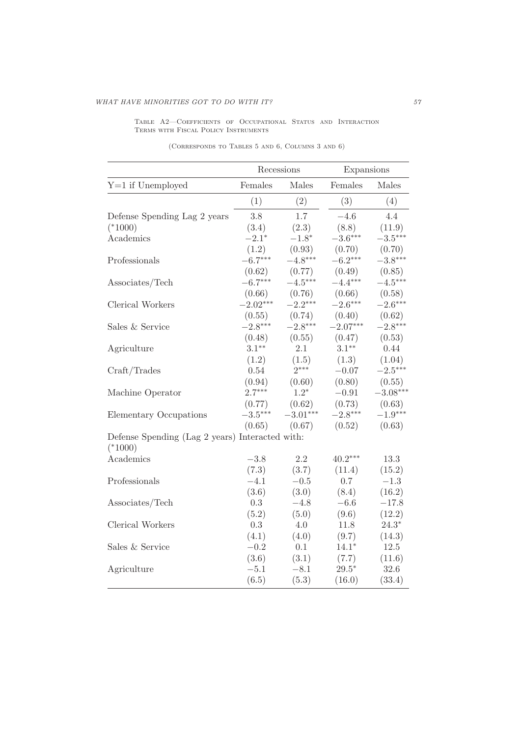Table A2—Coefficients of Occupational Status and Interaction Terms with Fiscal Policy Instruments

|                                                              | Recessions |               | Expansions |             |
|--------------------------------------------------------------|------------|---------------|------------|-------------|
| $Y=1$ if Unemployed                                          | Females    | $\rm {Males}$ | Females    | Males       |
|                                                              | (1)        | (2)           | (3)        | (4)         |
| Defense Spending Lag 2 years                                 | 3.8        | 1.7           | $-4.6$     | 4.4         |
| $(*1000)$                                                    | (3.4)      | (2.3)         | (8.8)      | (11.9)      |
| Academics                                                    | $-2.1*$    | $-1.8*$       | $-3.6***$  | $-3.5***$   |
|                                                              | (1.2)      | (0.93)        | (0.70)     | (0.70)      |
| Professionals                                                | $-6.7***$  | $-4.8***$     | $-6.2***$  | $-3.8***$   |
|                                                              | (0.62)     | (0.77)        | (0.49)     | (0.85)      |
| Associates/Tech                                              | $-6.7***$  | $-4.5***$     | $-4.4***$  | $-4.5***$   |
|                                                              | (0.66)     | (0.76)        | (0.66)     | (0.58)      |
| Clerical Workers                                             | $-2.02***$ | $-2.2***$     | $-2.6***$  | $-2.6***$   |
|                                                              | (0.55)     | (0.74)        | (0.40)     | (0.62)      |
| Sales & Service                                              | $-2.8***$  | $-2.8***$     | $-2.07***$ | $-2.8***$   |
|                                                              | (0.48)     | (0.55)        | (0.47)     | (0.53)      |
| Agriculture                                                  | $3.1***$   | 2.1           | $3.1***$   | 0.44        |
|                                                              | (1.2)      | (1.5)         | (1.3)      | (1.04)      |
| Craft/Trades                                                 | 0.54       | $2***$        | $-0.07$    | $-2.5***$   |
|                                                              | (0.94)     | (0.60)        | (0.80)     | (0.55)      |
| Machine Operator                                             | $2.7***$   | $1.2*$        | $-0.91$    | $-3.08***$  |
|                                                              | (0.77)     | (0.62)        | (0.73)     | (0.63)      |
| Elementary Occupations                                       | $-3.5***$  | $-3.01***$    | $-2.8***$  | $-1.9***$   |
|                                                              | (0.65)     | (0.67)        | (0.52)     | (0.63)      |
| Defense Spending (Lag 2 years) Interacted with:<br>$(*1000)$ |            |               |            |             |
| Academics                                                    | $-3.8$     | 2.2           | $40.2***$  | 13.3        |
|                                                              | (7.3)      | (3.7)         | (11.4)     | (15.2)      |
| Professionals                                                | $-4.1$     | $-0.5$        | 0.7        | $-1.3$      |
|                                                              | (3.6)      | (3.0)         | (8.4)      | (16.2)      |
| Associates/Tech                                              | $\rm 0.3$  | $-4.8$        | $-6.6$     | $-17.8$     |
|                                                              | (5.2)      | (5.0)         | (9.6)      | (12.2)      |
| Clerical Workers                                             | $\rm 0.3$  | 4.0           | 11.8       | $24.3^\ast$ |
|                                                              | (4.1)      | (4.0)         | (9.7)      | (14.3)      |
| Sales & Service                                              | $-0.2$     | 0.1           | $14.1*$    | $12.5\,$    |
|                                                              | (3.6)      | (3.1)         | (7.7)      | (11.6)      |
| Agriculture                                                  | $-5.1$     | $-8.1$        | $29.5*$    | 32.6        |
|                                                              | (6.5)      | (5.3)         | (16.0)     | (33.4)      |

(Corresponds to Tables 5 and 6, Columns 3 and 6)

L